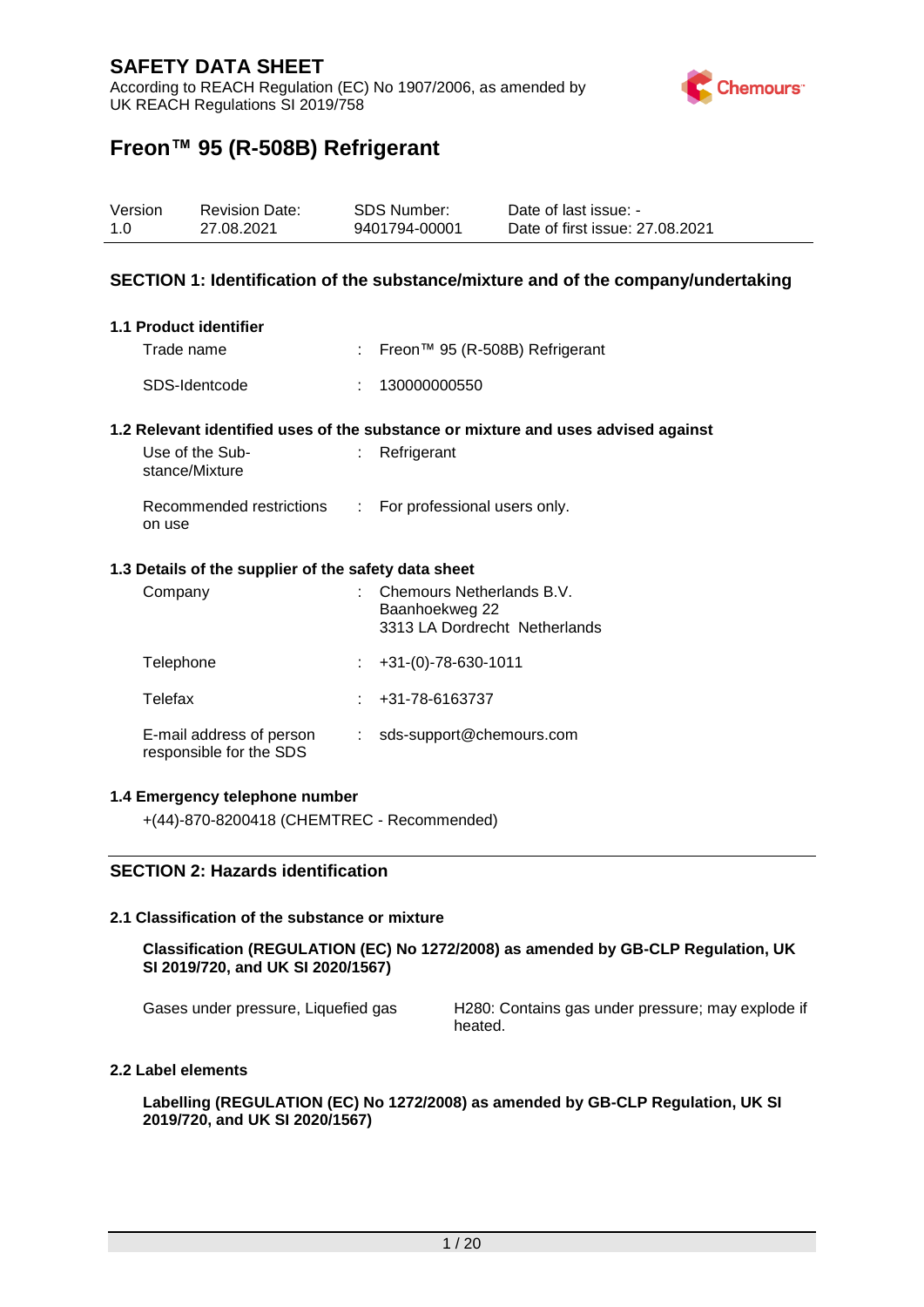According to REACH Regulation (EC) No 1907/2006, as amended by UK REACH Regulations SI 2019/758



## **Freon™ 95 (R-508B) Refrigerant**

| Version | <b>Revision Date:</b> | SDS Number:   | Date of last issue: -           |
|---------|-----------------------|---------------|---------------------------------|
| 1.0     | 27.08.2021            | 9401794-00001 | Date of first issue: 27,08,2021 |

#### **SECTION 1: Identification of the substance/mixture and of the company/undertaking**

#### **1.1 Product identifier**

Trade name : Freon™ 95 (R-508B) Refrigerant SDS-Identcode : 130000000550

#### **1.2 Relevant identified uses of the substance or mixture and uses advised against**

| Use of the Sub-<br>stance/Mixture  | $:$ Refrigerant                |
|------------------------------------|--------------------------------|
| Recommended restrictions<br>on use | : For professional users only. |

#### **1.3 Details of the supplier of the safety data sheet**

| Company                                             | Chemours Netherlands B.V.<br>Baanhoekweg 22<br>3313 LA Dordrecht Netherlands |
|-----------------------------------------------------|------------------------------------------------------------------------------|
| Telephone                                           | $+31-(0)-78-630-1011$                                                        |
| Telefax                                             | +31-78-6163737                                                               |
| E-mail address of person<br>responsible for the SDS | sds-support@chemours.com                                                     |

#### **1.4 Emergency telephone number**

+(44)-870-8200418 (CHEMTREC - Recommended)

#### **SECTION 2: Hazards identification**

#### **2.1 Classification of the substance or mixture**

**Classification (REGULATION (EC) No 1272/2008) as amended by GB-CLP Regulation, UK SI 2019/720, and UK SI 2020/1567)**

Gases under pressure, Liquefied gas H280: Contains gas under pressure; may explode if heated.

#### **2.2 Label elements**

**Labelling (REGULATION (EC) No 1272/2008) as amended by GB-CLP Regulation, UK SI 2019/720, and UK SI 2020/1567)**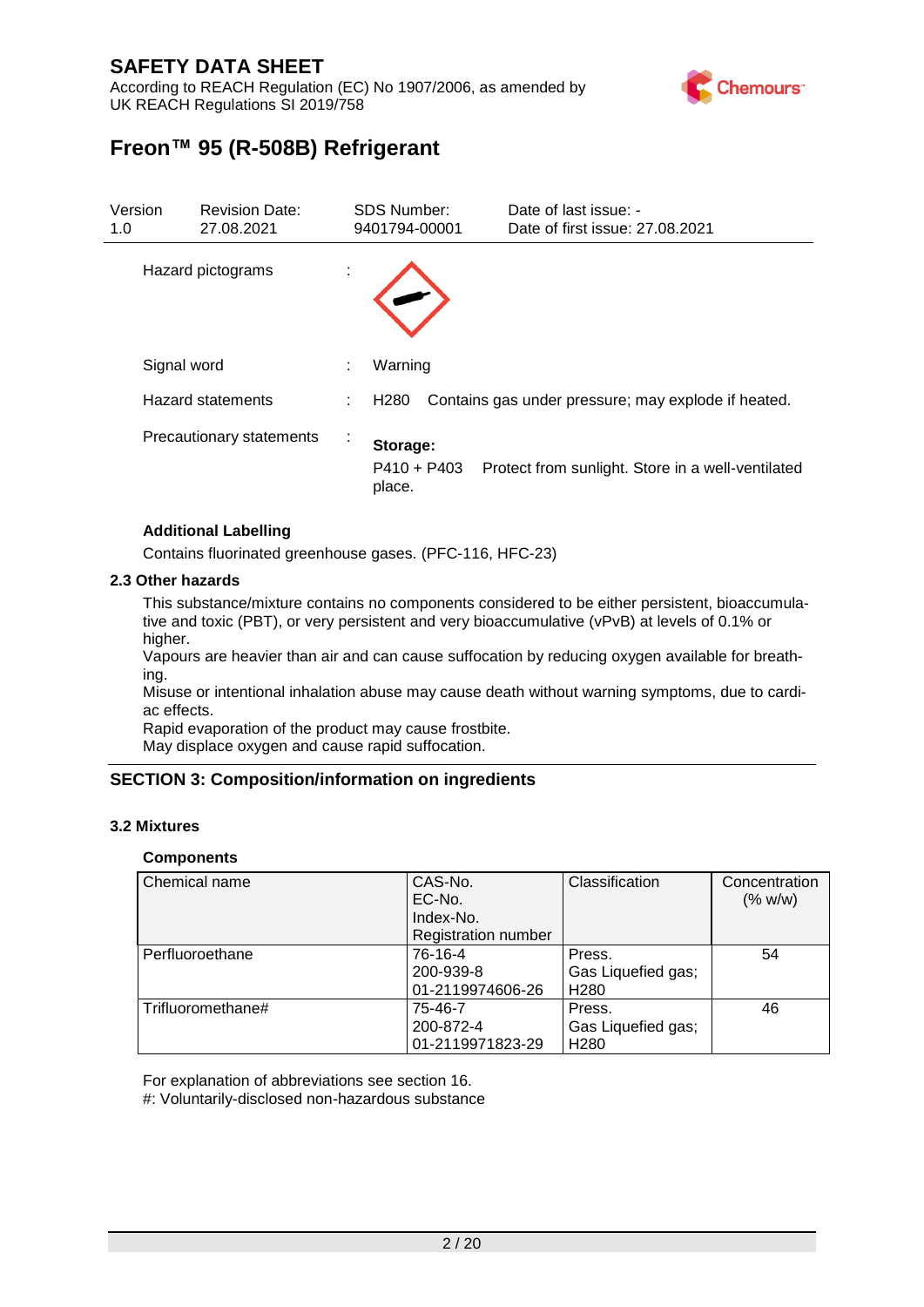According to REACH Regulation (EC) No 1907/2006, as amended by UK REACH Regulations SI 2019/758



# **Freon™ 95 (R-508B) Refrigerant**

| Version<br>1.0    | <b>Revision Date:</b><br>27.08.2021 |        | <b>SDS Number:</b><br>9401794-00001 | Date of last issue: -<br>Date of first issue: 27,08,2021 |
|-------------------|-------------------------------------|--------|-------------------------------------|----------------------------------------------------------|
| Hazard pictograms |                                     |        |                                     |                                                          |
|                   | Signal word                         | ÷      | Warning                             |                                                          |
|                   | <b>Hazard statements</b>            | ÷.     | H <sub>280</sub>                    | Contains gas under pressure; may explode if heated.      |
|                   | Precautionary statements            | $\sim$ | Storage:<br>$P410 + P403$<br>place. | Protect from sunlight. Store in a well-ventilated        |

#### **Additional Labelling**

Contains fluorinated greenhouse gases. (PFC-116, HFC-23)

#### **2.3 Other hazards**

This substance/mixture contains no components considered to be either persistent, bioaccumulative and toxic (PBT), or very persistent and very bioaccumulative (vPvB) at levels of 0.1% or higher.

Vapours are heavier than air and can cause suffocation by reducing oxygen available for breathing.

Misuse or intentional inhalation abuse may cause death without warning symptoms, due to cardiac effects.

Rapid evaporation of the product may cause frostbite.

May displace oxygen and cause rapid suffocation.

#### **SECTION 3: Composition/information on ingredients**

#### **3.2 Mixtures**

#### **Components**

| <b>Chemical name</b> | CAS-No.<br>EC-No.<br>Index-No.<br><b>Registration number</b> | Classification                                   | Concentration<br>(% w/w) |
|----------------------|--------------------------------------------------------------|--------------------------------------------------|--------------------------|
| Perfluoroethane      | 76-16-4<br>200-939-8<br>01-2119974606-26                     | Press.<br>Gas Liquefied gas;<br>H <sub>280</sub> | 54                       |
| l Trifluoromethane#  | 75-46-7<br>200-872-4<br>01-2119971823-29                     | Press.<br>Gas Liquefied gas;<br>H <sub>280</sub> | 46                       |

For explanation of abbreviations see section 16.

#: Voluntarily-disclosed non-hazardous substance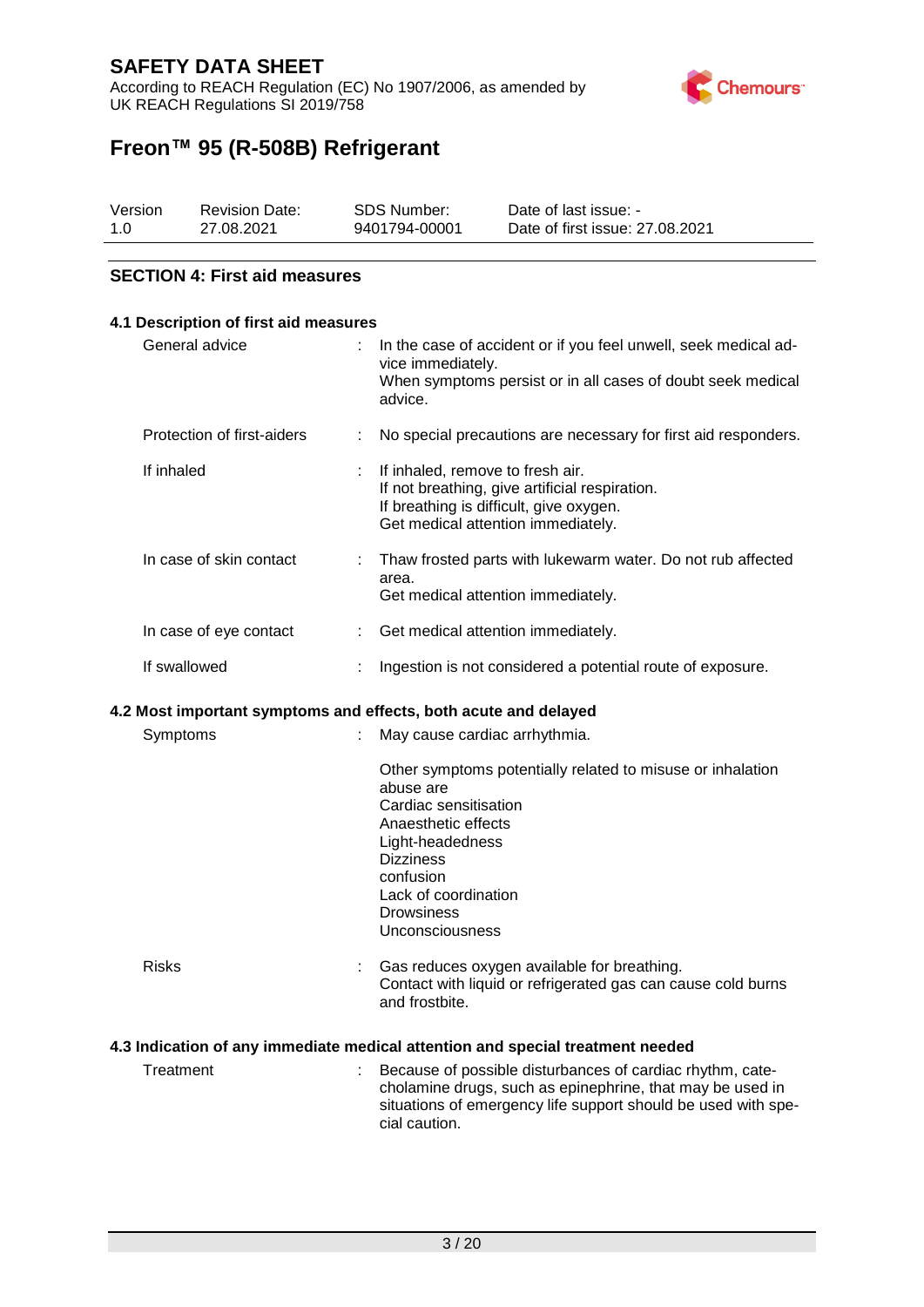According to REACH Regulation (EC) No 1907/2006, as amended by UK REACH Regulations SI 2019/758



# **Freon™ 95 (R-508B) Refrigerant**

| Version | <b>Revision Date:</b> | SDS Number:   | Date of last issue: -           |
|---------|-----------------------|---------------|---------------------------------|
| 1.0     | 27.08.2021            | 9401794-00001 | Date of first issue: 27,08,2021 |

#### **SECTION 4: First aid measures**

| 4.1 Description of first aid measures |    |                                                                                                                                                                                                                                              |
|---------------------------------------|----|----------------------------------------------------------------------------------------------------------------------------------------------------------------------------------------------------------------------------------------------|
| General advice                        |    | In the case of accident or if you feel unwell, seek medical ad-<br>vice immediately.<br>When symptoms persist or in all cases of doubt seek medical<br>advice.                                                                               |
| Protection of first-aiders            | t  | No special precautions are necessary for first aid responders.                                                                                                                                                                               |
| If inhaled                            |    | If inhaled, remove to fresh air.<br>If not breathing, give artificial respiration.<br>If breathing is difficult, give oxygen.<br>Get medical attention immediately.                                                                          |
| In case of skin contact               | ÷. | Thaw frosted parts with lukewarm water. Do not rub affected<br>area.<br>Get medical attention immediately.                                                                                                                                   |
| In case of eye contact                | t. | Get medical attention immediately.                                                                                                                                                                                                           |
| If swallowed                          |    | Ingestion is not considered a potential route of exposure.                                                                                                                                                                                   |
|                                       |    | 4.2 Most important symptoms and effects, both acute and delayed                                                                                                                                                                              |
| Symptoms                              |    | May cause cardiac arrhythmia.                                                                                                                                                                                                                |
|                                       |    | Other symptoms potentially related to misuse or inhalation<br>abuse are<br>Cardiac sensitisation<br>Anaesthetic effects<br>Light-headedness<br><b>Dizziness</b><br>confusion<br>Lack of coordination<br><b>Drowsiness</b><br>Unconsciousness |
| <b>Risks</b>                          |    | Gas reduces oxygen available for breathing.<br>Contact with liquid or refrigerated gas can cause cold burns<br>and frostbite.                                                                                                                |
|                                       |    | 4.3 Indication of any immediate medical attention and special treatment needed                                                                                                                                                               |
| Treatment                             |    | Because of possible disturbances of cardiac rhythm, cate-<br>cholamine drugs, such as epinephrine, that may be used in<br>situations of emergency life support should be used with spe-                                                      |

cial caution.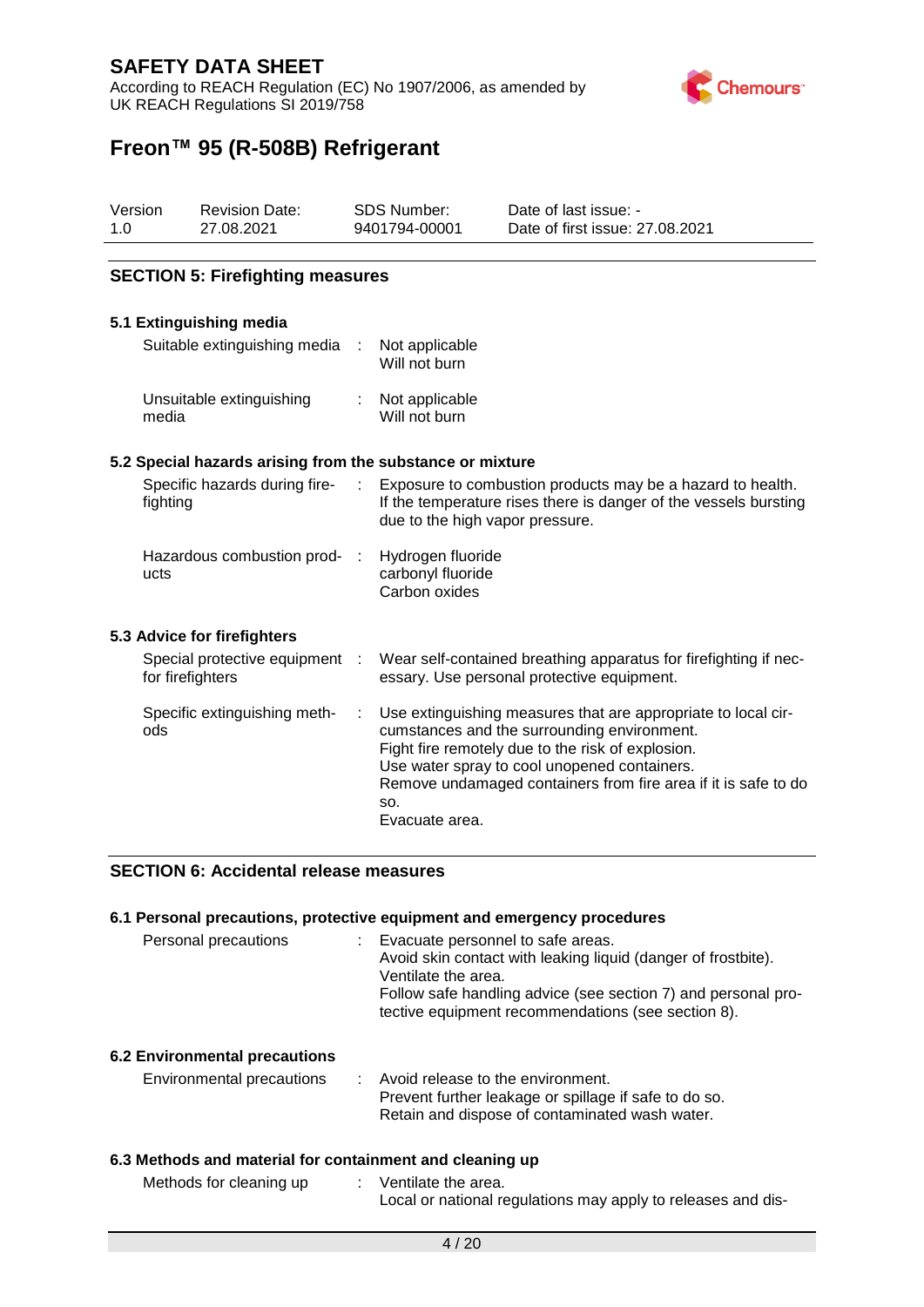According to REACH Regulation (EC) No 1907/2006, as amended by UK REACH Regulations SI 2019/758



# **Freon™ 95 (R-508B) Refrigerant**

| Version | <b>Revision Date:</b> | SDS Number:   | Date of last issue: -           |
|---------|-----------------------|---------------|---------------------------------|
| 1.O     | 27.08.2021            | 9401794-00001 | Date of first issue: 27,08,2021 |

#### **SECTION 5: Firefighting measures**

#### **5.1 Extinguishing media**

| Suitable extinguishing media      | Not applicable<br>Will not burn |
|-----------------------------------|---------------------------------|
| Unsuitable extinguishing<br>media | Not applicable<br>Will not burn |

#### **5.2 Special hazards arising from the substance or mixture**

| Specific hazards during fire-<br>fighting | Exposure to combustion products may be a hazard to health.<br>If the temperature rises there is danger of the vessels bursting<br>due to the high vapor pressure. |
|-------------------------------------------|-------------------------------------------------------------------------------------------------------------------------------------------------------------------|
| Hazardous combustion prod- :<br>ucts      | Hydrogen fluoride<br>carbonyl fluoride<br>Carbon oxides                                                                                                           |
|                                           |                                                                                                                                                                   |

#### **5.3 Advice for firefighters**

| Special protective equipment :<br>for firefighters | Wear self-contained breathing apparatus for firefighting if nec-<br>essary. Use personal protective equipment.                                                                                                                                                                                               |
|----------------------------------------------------|--------------------------------------------------------------------------------------------------------------------------------------------------------------------------------------------------------------------------------------------------------------------------------------------------------------|
| Specific extinguishing meth-<br>ods                | Use extinguishing measures that are appropriate to local cir-<br>cumstances and the surrounding environment.<br>Fight fire remotely due to the risk of explosion.<br>Use water spray to cool unopened containers.<br>Remove undamaged containers from fire area if it is safe to do<br>SO.<br>Evacuate area. |

#### **SECTION 6: Accidental release measures**

#### **6.1 Personal precautions, protective equipment and emergency procedures**

| Personal precautions | Evacuate personnel to safe areas.                             |
|----------------------|---------------------------------------------------------------|
|                      | Avoid skin contact with leaking liquid (danger of frostbite). |
|                      | Ventilate the area.                                           |
|                      | Follow safe handling advice (see section 7) and personal pro- |
|                      | tective equipment recommendations (see section 8).            |
|                      |                                                               |

#### **6.2 Environmental precautions**

| Environmental precautions | Avoid release to the environment.                     |
|---------------------------|-------------------------------------------------------|
|                           | Prevent further leakage or spillage if safe to do so. |
|                           | Retain and dispose of contaminated wash water.        |

#### **6.3 Methods and material for containment and cleaning up**

| Methods for cleaning up | Ventilate the area.                                          |
|-------------------------|--------------------------------------------------------------|
|                         | Local or national regulations may apply to releases and dis- |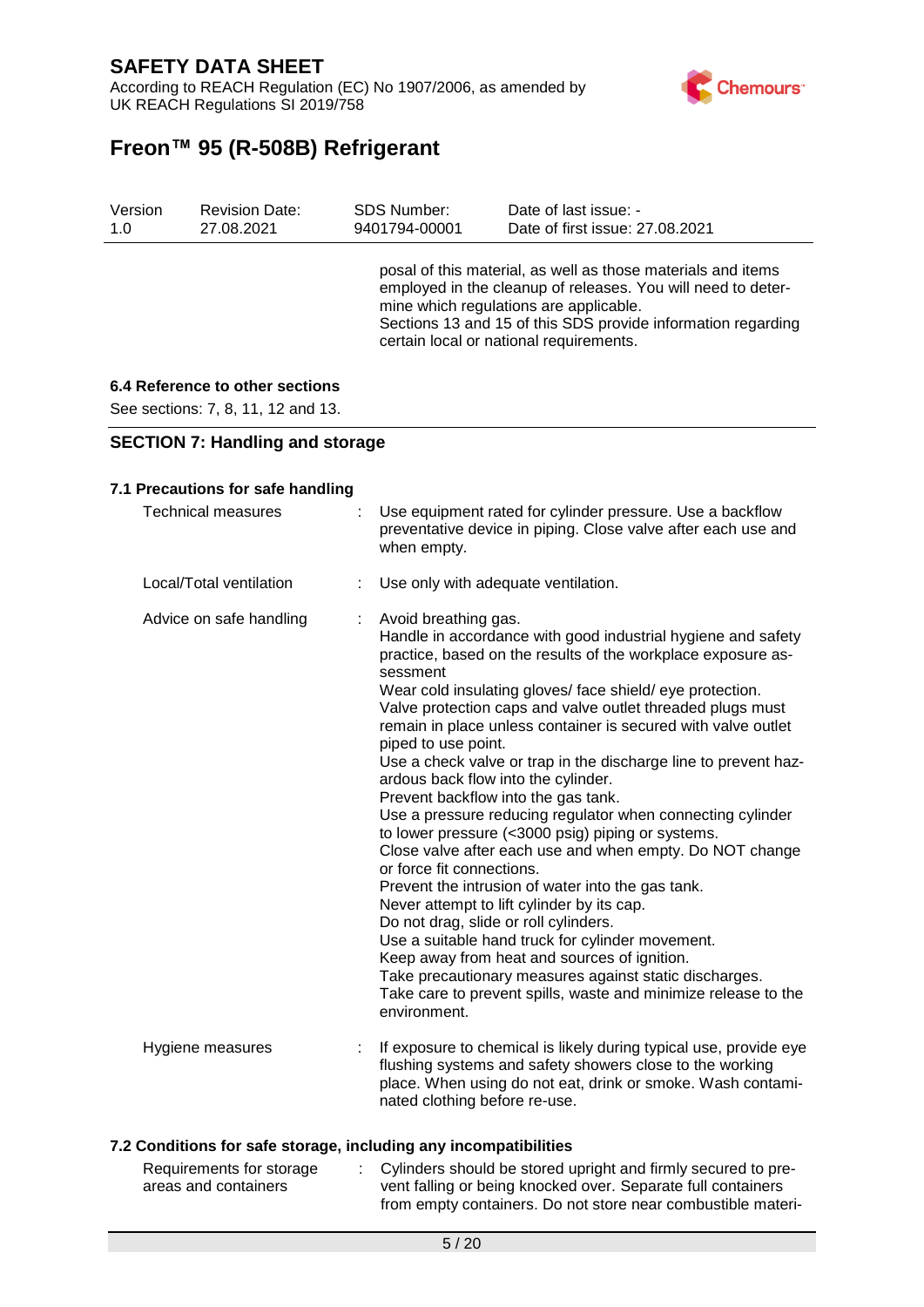According to REACH Regulation (EC) No 1907/2006, as amended by UK REACH Regulations SI 2019/758



# **Freon™ 95 (R-508B) Refrigerant**

| Version | <b>Revision Date:</b> | <b>SDS Number:</b> | Date of last issue: -                                                                                                                                                                                                                                                             |
|---------|-----------------------|--------------------|-----------------------------------------------------------------------------------------------------------------------------------------------------------------------------------------------------------------------------------------------------------------------------------|
| 1.0     | 27.08.2021            | 9401794-00001      | Date of first issue: 27.08.2021                                                                                                                                                                                                                                                   |
|         |                       |                    | posal of this material, as well as those materials and items<br>employed in the cleanup of releases. You will need to deter-<br>mine which regulations are applicable.<br>Sections 13 and 15 of this SDS provide information regarding<br>certain local or national requirements. |

### **6.4 Reference to other sections**

See sections: 7, 8, 11, 12 and 13.

#### **SECTION 7: Handling and storage**

#### **7.1 Precautions for safe handling**

| <b>Technical measures</b> | : Use equipment rated for cylinder pressure. Use a backflow<br>preventative device in piping. Close valve after each use and<br>when empty.                                                                                                                                                                                                                                                                                                                                                                                                                                                                                                                                                                                                                                                                                                                                                                                                                                                                                                                                                                                                  |
|---------------------------|----------------------------------------------------------------------------------------------------------------------------------------------------------------------------------------------------------------------------------------------------------------------------------------------------------------------------------------------------------------------------------------------------------------------------------------------------------------------------------------------------------------------------------------------------------------------------------------------------------------------------------------------------------------------------------------------------------------------------------------------------------------------------------------------------------------------------------------------------------------------------------------------------------------------------------------------------------------------------------------------------------------------------------------------------------------------------------------------------------------------------------------------|
| Local/Total ventilation   | Use only with adequate ventilation.                                                                                                                                                                                                                                                                                                                                                                                                                                                                                                                                                                                                                                                                                                                                                                                                                                                                                                                                                                                                                                                                                                          |
| Advice on safe handling   | Avoid breathing gas.<br>Handle in accordance with good industrial hygiene and safety<br>practice, based on the results of the workplace exposure as-<br>sessment<br>Wear cold insulating gloves/ face shield/ eye protection.<br>Valve protection caps and valve outlet threaded plugs must<br>remain in place unless container is secured with valve outlet<br>piped to use point.<br>Use a check valve or trap in the discharge line to prevent haz-<br>ardous back flow into the cylinder.<br>Prevent backflow into the gas tank.<br>Use a pressure reducing regulator when connecting cylinder<br>to lower pressure (<3000 psig) piping or systems.<br>Close valve after each use and when empty. Do NOT change<br>or force fit connections.<br>Prevent the intrusion of water into the gas tank.<br>Never attempt to lift cylinder by its cap.<br>Do not drag, slide or roll cylinders.<br>Use a suitable hand truck for cylinder movement.<br>Keep away from heat and sources of ignition.<br>Take precautionary measures against static discharges.<br>Take care to prevent spills, waste and minimize release to the<br>environment. |
| Hygiene measures          | If exposure to chemical is likely during typical use, provide eye<br>flushing systems and safety showers close to the working<br>place. When using do not eat, drink or smoke. Wash contami-<br>nated clothing before re-use.                                                                                                                                                                                                                                                                                                                                                                                                                                                                                                                                                                                                                                                                                                                                                                                                                                                                                                                |

#### **7.2 Conditions for safe storage, including any incompatibilities**

| Requirements for storage | Cylinders should be stored upright and firmly secured to pre- |
|--------------------------|---------------------------------------------------------------|
| areas and containers     | vent falling or being knocked over. Separate full containers  |
|                          | from empty containers. Do not store near combustible materi-  |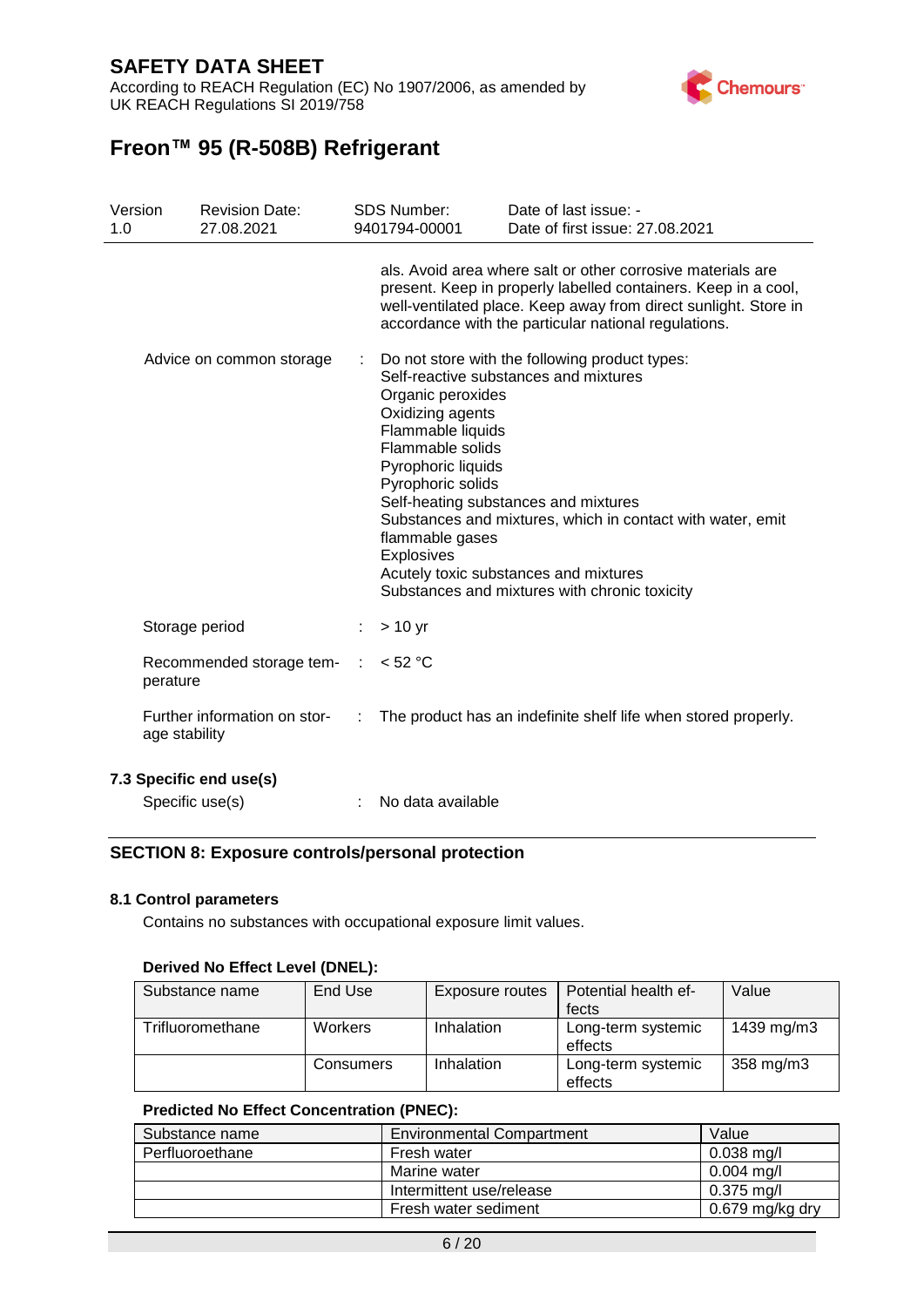According to REACH Regulation (EC) No 1907/2006, as amended by UK REACH Regulations SI 2019/758



# **Freon™ 95 (R-508B) Refrigerant**

| Version<br>1.0 |               | <b>Revision Date:</b><br>27.08.2021 |   | <b>SDS Number:</b><br>9401794-00001                                                                                                                        | Date of last issue: -<br>Date of first issue: 27,08,2021                                                                                                                                                                                                                                |
|----------------|---------------|-------------------------------------|---|------------------------------------------------------------------------------------------------------------------------------------------------------------|-----------------------------------------------------------------------------------------------------------------------------------------------------------------------------------------------------------------------------------------------------------------------------------------|
|                |               |                                     |   |                                                                                                                                                            | als. Avoid area where salt or other corrosive materials are<br>present. Keep in properly labelled containers. Keep in a cool,<br>well-ventilated place. Keep away from direct sunlight. Store in<br>accordance with the particular national regulations.                                |
|                |               | Advice on common storage            |   | Organic peroxides<br>Oxidizing agents<br>Flammable liquids<br>Flammable solids<br>Pyrophoric liquids<br>Pyrophoric solids<br>flammable gases<br>Explosives | Do not store with the following product types:<br>Self-reactive substances and mixtures<br>Self-heating substances and mixtures<br>Substances and mixtures, which in contact with water, emit<br>Acutely toxic substances and mixtures<br>Substances and mixtures with chronic toxicity |
|                |               | Storage period                      | ÷ | $> 10$ yr                                                                                                                                                  |                                                                                                                                                                                                                                                                                         |
|                | perature      | Recommended storage tem- :          |   | < 52 °C                                                                                                                                                    |                                                                                                                                                                                                                                                                                         |
|                | age stability | Further information on stor-        | ÷ |                                                                                                                                                            | The product has an indefinite shelf life when stored properly.                                                                                                                                                                                                                          |
|                |               | 7.3 Specific end use(s)             |   |                                                                                                                                                            |                                                                                                                                                                                                                                                                                         |
|                |               | Specific use(s)                     |   | No data available                                                                                                                                          |                                                                                                                                                                                                                                                                                         |

#### **SECTION 8: Exposure controls/personal protection**

#### **8.1 Control parameters**

Contains no substances with occupational exposure limit values.

#### **Derived No Effect Level (DNEL):**

| Substance name   | End Use        | <b>Exposure routes</b> | Potential health ef-          | Value      |
|------------------|----------------|------------------------|-------------------------------|------------|
|                  |                |                        | fects                         |            |
| Trifluoromethane | <b>Workers</b> | Inhalation             | Long-term systemic<br>effects | 1439 mg/m3 |
|                  | Consumers      | Inhalation             | Long-term systemic<br>effects | 358 mg/m3  |

#### **Predicted No Effect Concentration (PNEC):**

| Substance name  | <b>Environmental Compartment</b> | Value           |
|-----------------|----------------------------------|-----------------|
| Perfluoroethane | Fresh water                      | $0.038$ mg/l    |
|                 | Marine water                     | $0.004$ mg/l    |
|                 | Intermittent use/release         | $0.375$ ma/l    |
|                 | Fresh water sediment             | 0.679 mg/kg dry |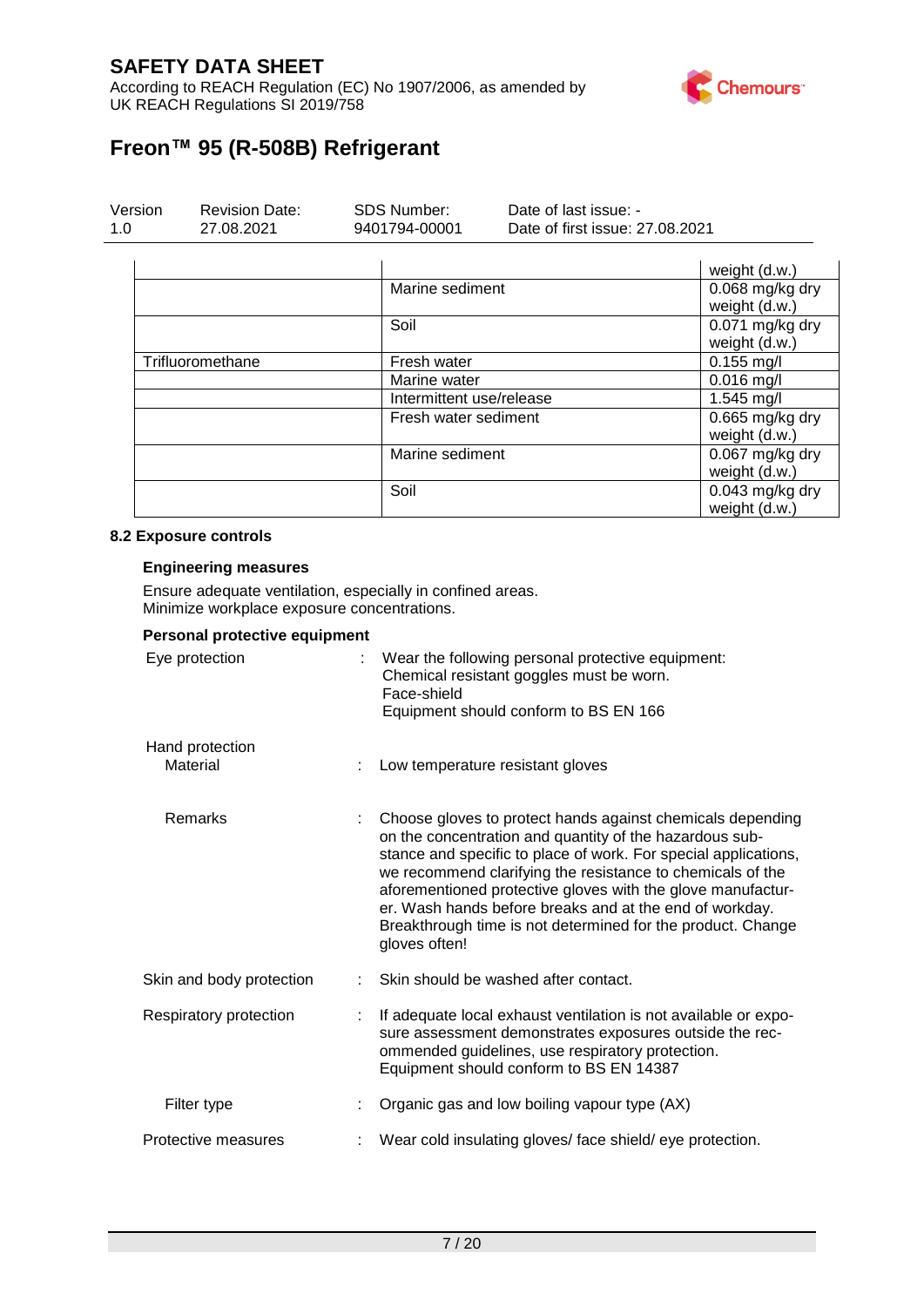According to REACH Regulation (EC) No 1907/2006, as amended by UK REACH Regulations SI 2019/758



# **Freon™ 95 (R-508B) Refrigerant**

| Version | <b>Revision Date:</b> | SDS Number:   | Date of last issue: -           |
|---------|-----------------------|---------------|---------------------------------|
| 1.O     | 27.08.2021            | 9401794-00001 | Date of first issue: 27,08,2021 |

|                  |                          | weight (d.w.)                      |
|------------------|--------------------------|------------------------------------|
|                  | Marine sediment          | $0.068$ mg/kg dry<br>weight (d.w.) |
|                  | Soil                     | 0.071 mg/kg dry<br>weight (d.w.)   |
| Trifluoromethane | Fresh water              | $0.155$ mg/l                       |
|                  | Marine water             | $0.016$ mg/l                       |
|                  | Intermittent use/release | $1.545$ mg/l                       |
|                  | Fresh water sediment     | 0.665 mg/kg dry<br>weight (d.w.)   |
|                  | Marine sediment          | 0.067 mg/kg dry<br>weight (d.w.)   |
|                  | Soil                     | $0.043$ mg/kg dry<br>weight (d.w.) |

#### **8.2 Exposure controls**

#### **Engineering measures**

Ensure adequate ventilation, especially in confined areas. Minimize workplace exposure concentrations.

| Personal protective equipment |                                                                                                                                                                                                                                                                                                                                                                                                                                                                  |
|-------------------------------|------------------------------------------------------------------------------------------------------------------------------------------------------------------------------------------------------------------------------------------------------------------------------------------------------------------------------------------------------------------------------------------------------------------------------------------------------------------|
| Eye protection                | Wear the following personal protective equipment:<br>Chemical resistant goggles must be worn.<br>Face-shield<br>Equipment should conform to BS EN 166                                                                                                                                                                                                                                                                                                            |
| Hand protection<br>Material   | Low temperature resistant gloves                                                                                                                                                                                                                                                                                                                                                                                                                                 |
| Remarks                       | Choose gloves to protect hands against chemicals depending<br>on the concentration and quantity of the hazardous sub-<br>stance and specific to place of work. For special applications,<br>we recommend clarifying the resistance to chemicals of the<br>aforementioned protective gloves with the glove manufactur-<br>er. Wash hands before breaks and at the end of workday.<br>Breakthrough time is not determined for the product. Change<br>gloves often! |
| Skin and body protection      | Skin should be washed after contact.                                                                                                                                                                                                                                                                                                                                                                                                                             |
| Respiratory protection        | If adequate local exhaust ventilation is not available or expo-<br>sure assessment demonstrates exposures outside the rec-<br>ommended guidelines, use respiratory protection.<br>Equipment should conform to BS EN 14387                                                                                                                                                                                                                                        |
| Filter type                   | Organic gas and low boiling vapour type (AX)                                                                                                                                                                                                                                                                                                                                                                                                                     |
| Protective measures           | Wear cold insulating gloves/ face shield/ eye protection.                                                                                                                                                                                                                                                                                                                                                                                                        |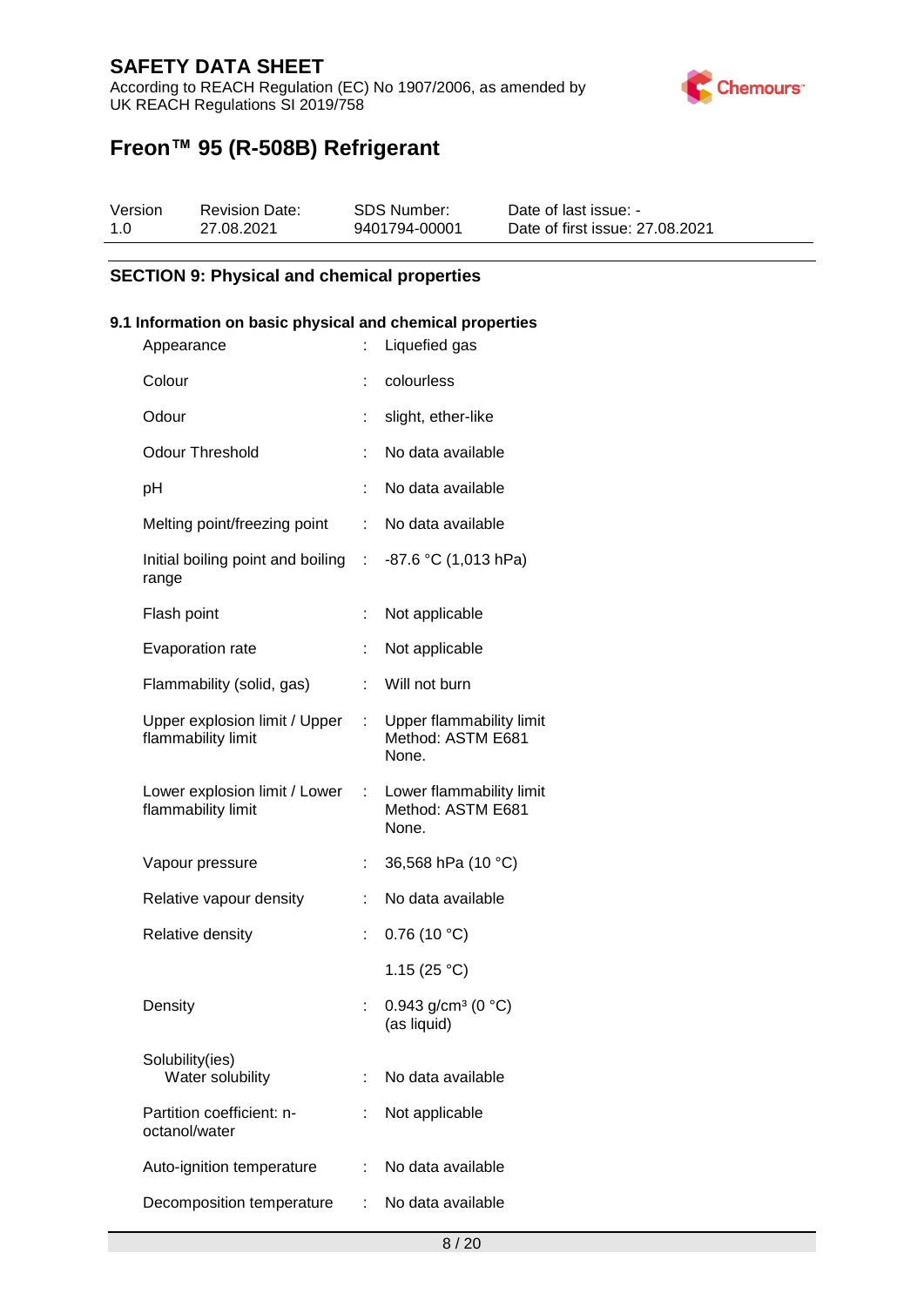According to REACH Regulation (EC) No 1907/2006, as amended by UK REACH Regulations SI 2019/758



# **Freon™ 95 (R-508B) Refrigerant**

| Version | <b>Revision Date:</b> | SDS Number:   | Date of last issue: -           |
|---------|-----------------------|---------------|---------------------------------|
| 1.0     | 27.08.2021            | 9401794-00001 | Date of first issue: 27,08,2021 |

#### **SECTION 9: Physical and chemical properties**

#### **9.1 Information on basic physical and chemical properties**

| Appearance                                          | t                           | Liquefied gas                                          |
|-----------------------------------------------------|-----------------------------|--------------------------------------------------------|
| Colour                                              |                             | colourless                                             |
| Odour                                               | Ì.                          | slight, ether-like                                     |
| <b>Odour Threshold</b>                              | t.                          | No data available                                      |
| рH                                                  |                             | No data available                                      |
| Melting point/freezing point                        | t.                          | No data available                                      |
| Initial boiling point and boiling :<br>range        |                             | $-87.6$ °C (1,013 hPa)                                 |
| Flash point                                         | t                           | Not applicable                                         |
| Evaporation rate                                    | t,                          | Not applicable                                         |
| Flammability (solid, gas)                           | ÷                           | Will not burn                                          |
| Upper explosion limit / Upper<br>flammability limit | t.                          | Upper flammability limit<br>Method: ASTM E681<br>None. |
| Lower explosion limit / Lower<br>flammability limit | $\mathcal{L}^{\mathcal{L}}$ | Lower flammability limit<br>Method: ASTM E681<br>None. |
| Vapour pressure                                     | t,                          | 36,568 hPa (10 °C)                                     |
| Relative vapour density                             | ÷                           | No data available                                      |
| Relative density                                    | Ì.                          | 0.76(10 °C)                                            |
|                                                     |                             | 1.15 $(25 °C)$                                         |
| Density                                             | Ì.                          | 0.943 g/cm <sup>3</sup> (0 °C)<br>(as liquid)          |
| Solubility(ies)<br>Water solubility                 | ÷.                          | No data available                                      |
| Partition coefficient: n-<br>octanol/water          |                             | Not applicable                                         |
| Auto-ignition temperature                           | ÷                           | No data available                                      |
| Decomposition temperature                           | t.                          | No data available                                      |
|                                                     |                             |                                                        |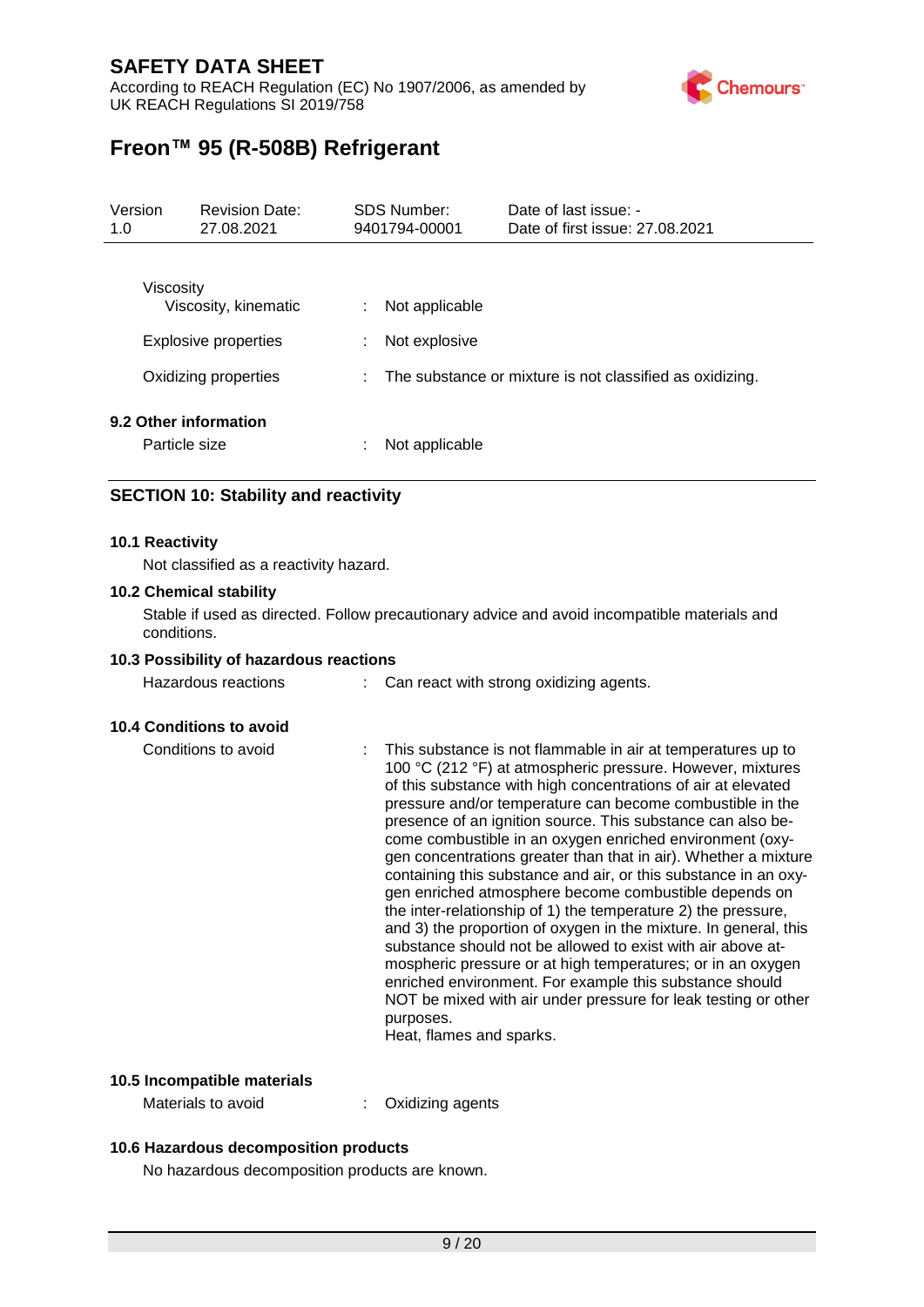According to REACH Regulation (EC) No 1907/2006, as amended by UK REACH Regulations SI 2019/758



# **Freon™ 95 (R-508B) Refrigerant**

| Version<br>1.0                         | <b>Revision Date:</b><br>27.08.2021 |   | SDS Number:<br>9401794-00001 | Date of last issue: -<br>Date of first issue: 27,08,2021   |
|----------------------------------------|-------------------------------------|---|------------------------------|------------------------------------------------------------|
| Viscosity                              | Viscosity, kinematic                | ÷ | Not applicable               |                                                            |
|                                        | <b>Explosive properties</b>         | ÷ | Not explosive                |                                                            |
|                                        | Oxidizing properties                |   |                              | : The substance or mixture is not classified as oxidizing. |
| 9.2 Other information<br>Particle size |                                     | ٠ | Not applicable               |                                                            |

### **SECTION 10: Stability and reactivity**

#### **10.1 Reactivity**

Not classified as a reactivity hazard.

#### **10.2 Chemical stability**

Stable if used as directed. Follow precautionary advice and avoid incompatible materials and conditions.

#### **10.3 Possibility of hazardous reactions**

Hazardous reactions : Can react with strong oxidizing agents.

#### **10.4 Conditions to avoid**

Conditions to avoid : This substance is not flammable in air at temperatures up to 100 °C (212 °F) at atmospheric pressure. However, mixtures of this substance with high concentrations of air at elevated pressure and/or temperature can become combustible in the presence of an ignition source. This substance can also become combustible in an oxygen enriched environment (oxygen concentrations greater than that in air). Whether a mixture containing this substance and air, or this substance in an oxygen enriched atmosphere become combustible depends on the inter-relationship of 1) the temperature 2) the pressure, and 3) the proportion of oxygen in the mixture. In general, this substance should not be allowed to exist with air above atmospheric pressure or at high temperatures; or in an oxygen enriched environment. For example this substance should NOT be mixed with air under pressure for leak testing or other purposes. Heat, flames and sparks.

#### **10.5 Incompatible materials**

Materials to avoid : Oxidizing agents

#### **10.6 Hazardous decomposition products**

No hazardous decomposition products are known.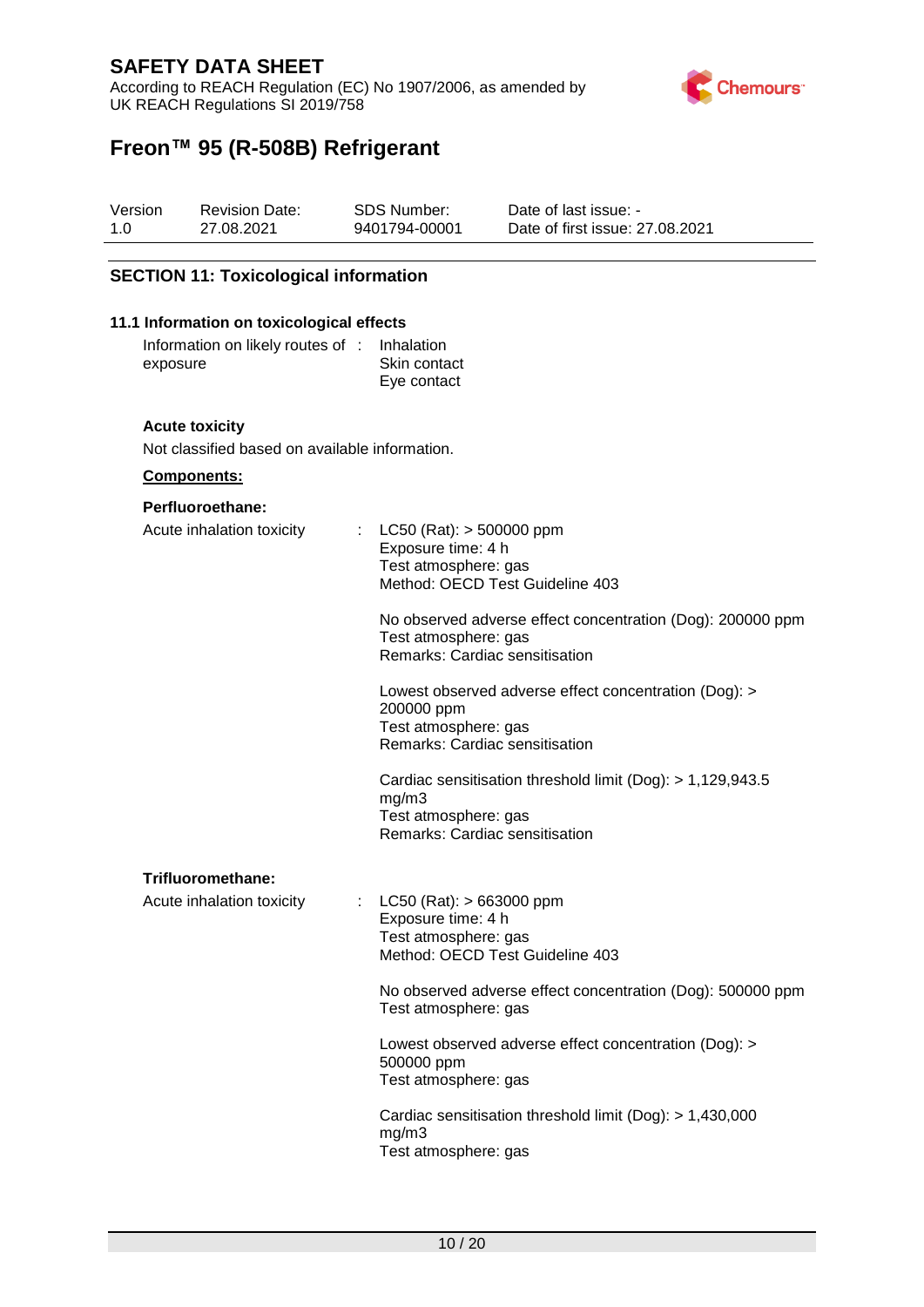According to REACH Regulation (EC) No 1907/2006, as amended by UK REACH Regulations SI 2019/758



# **Freon™ 95 (R-508B) Refrigerant**

| Version | <b>Revision Date:</b> | SDS Number:   | Date of last issue: -           |
|---------|-----------------------|---------------|---------------------------------|
| 1.0     | 27.08.2021            | 9401794-00001 | Date of first issue: 27,08,2021 |

#### **SECTION 11: Toxicological information**

#### **11.1 Information on toxicological effects**

Information on likely routes of exposure **Inhalation** Skin contact Eye contact

#### **Acute toxicity**

Not classified based on available information.

#### **Components:**

#### **Perfluoroethane:**

| Acute inhalation toxicity |   | : LC50 (Rat): $>$ 500000 ppm<br>Exposure time: 4 h<br>Test atmosphere: gas<br>Method: OECD Test Guideline 403                 |  |
|---------------------------|---|-------------------------------------------------------------------------------------------------------------------------------|--|
|                           |   | No observed adverse effect concentration (Dog): 200000 ppm<br>Test atmosphere: gas<br>Remarks: Cardiac sensitisation          |  |
|                           |   | Lowest observed adverse effect concentration (Dog): ><br>200000 ppm<br>Test atmosphere: gas<br>Remarks: Cardiac sensitisation |  |
|                           |   | Cardiac sensitisation threshold limit (Dog): > 1,129,943.5<br>mg/m3<br>Test atmosphere: gas<br>Remarks: Cardiac sensitisation |  |
| Trifluoromethane:         |   |                                                                                                                               |  |
| Acute inhalation toxicity | t | $LC50$ (Rat): $> 663000$ ppm<br>Exposure time: 4 h<br>Test atmosphere: gas<br>Method: OECD Test Guideline 403                 |  |
|                           |   | No observed adverse effect concentration (Dog): 500000 ppm<br>Test atmosphere: gas                                            |  |
|                           |   | Lowest observed adverse effect concentration (Dog): ><br>500000 ppm<br>Test atmosphere: gas                                   |  |
|                           |   | Cardiac sensitisation threshold limit (Dog): > 1,430,000<br>mg/m3<br>Test atmosphere: gas                                     |  |
|                           |   |                                                                                                                               |  |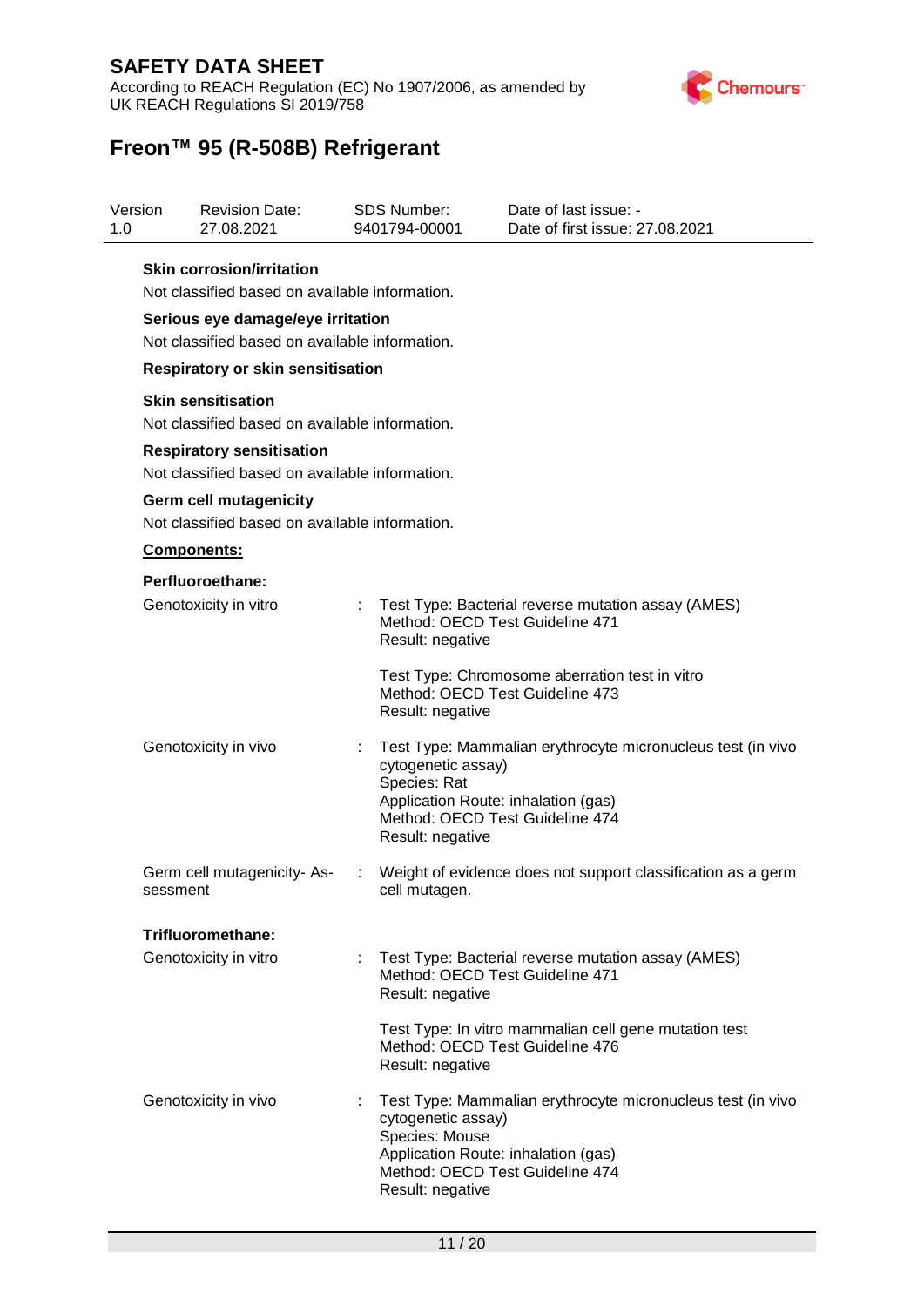According to REACH Regulation (EC) No 1907/2006, as amended by UK REACH Regulations SI 2019/758



| 1.0 | Version                           | <b>Revision Date:</b><br>27.08.2021                                                |   | <b>SDS Number:</b><br>9401794-00001                                                             | Date of last issue: -<br>Date of first issue: 27.08.2021                                       |  |  |  |  |
|-----|-----------------------------------|------------------------------------------------------------------------------------|---|-------------------------------------------------------------------------------------------------|------------------------------------------------------------------------------------------------|--|--|--|--|
|     |                                   | <b>Skin corrosion/irritation</b><br>Not classified based on available information. |   |                                                                                                 |                                                                                                |  |  |  |  |
|     | Serious eye damage/eye irritation |                                                                                    |   |                                                                                                 |                                                                                                |  |  |  |  |
|     |                                   | Not classified based on available information.                                     |   |                                                                                                 |                                                                                                |  |  |  |  |
|     |                                   | <b>Respiratory or skin sensitisation</b>                                           |   |                                                                                                 |                                                                                                |  |  |  |  |
|     |                                   | <b>Skin sensitisation</b><br>Not classified based on available information.        |   |                                                                                                 |                                                                                                |  |  |  |  |
|     |                                   | <b>Respiratory sensitisation</b>                                                   |   |                                                                                                 |                                                                                                |  |  |  |  |
|     |                                   | Not classified based on available information.                                     |   |                                                                                                 |                                                                                                |  |  |  |  |
|     |                                   | Germ cell mutagenicity<br>Not classified based on available information.           |   |                                                                                                 |                                                                                                |  |  |  |  |
|     |                                   | Components:                                                                        |   |                                                                                                 |                                                                                                |  |  |  |  |
|     |                                   | Perfluoroethane:                                                                   |   |                                                                                                 |                                                                                                |  |  |  |  |
|     |                                   | Genotoxicity in vitro                                                              |   | Method: OECD Test Guideline 471<br>Result: negative                                             | Test Type: Bacterial reverse mutation assay (AMES)                                             |  |  |  |  |
|     |                                   |                                                                                    |   | Result: negative                                                                                | Test Type: Chromosome aberration test in vitro<br>Method: OECD Test Guideline 473              |  |  |  |  |
|     |                                   | Genotoxicity in vivo                                                               |   | cytogenetic assay)<br>Species: Rat<br>Application Route: inhalation (gas)<br>Result: negative   | Test Type: Mammalian erythrocyte micronucleus test (in vivo<br>Method: OECD Test Guideline 474 |  |  |  |  |
|     | sessment                          | Germ cell mutagenicity-As-                                                         | ÷ | cell mutagen.                                                                                   | Weight of evidence does not support classification as a germ                                   |  |  |  |  |
|     |                                   | Trifluoromethane:                                                                  |   |                                                                                                 |                                                                                                |  |  |  |  |
|     |                                   | Genotoxicity in vitro                                                              | ÷ | Result: negative                                                                                | Test Type: Bacterial reverse mutation assay (AMES)<br>Method: OECD Test Guideline 471          |  |  |  |  |
|     |                                   |                                                                                    |   | Result: negative                                                                                | Test Type: In vitro mammalian cell gene mutation test<br>Method: OECD Test Guideline 476       |  |  |  |  |
|     |                                   | Genotoxicity in vivo                                                               |   | cytogenetic assay)<br>Species: Mouse<br>Application Route: inhalation (gas)<br>Result: negative | Test Type: Mammalian erythrocyte micronucleus test (in vivo<br>Method: OECD Test Guideline 474 |  |  |  |  |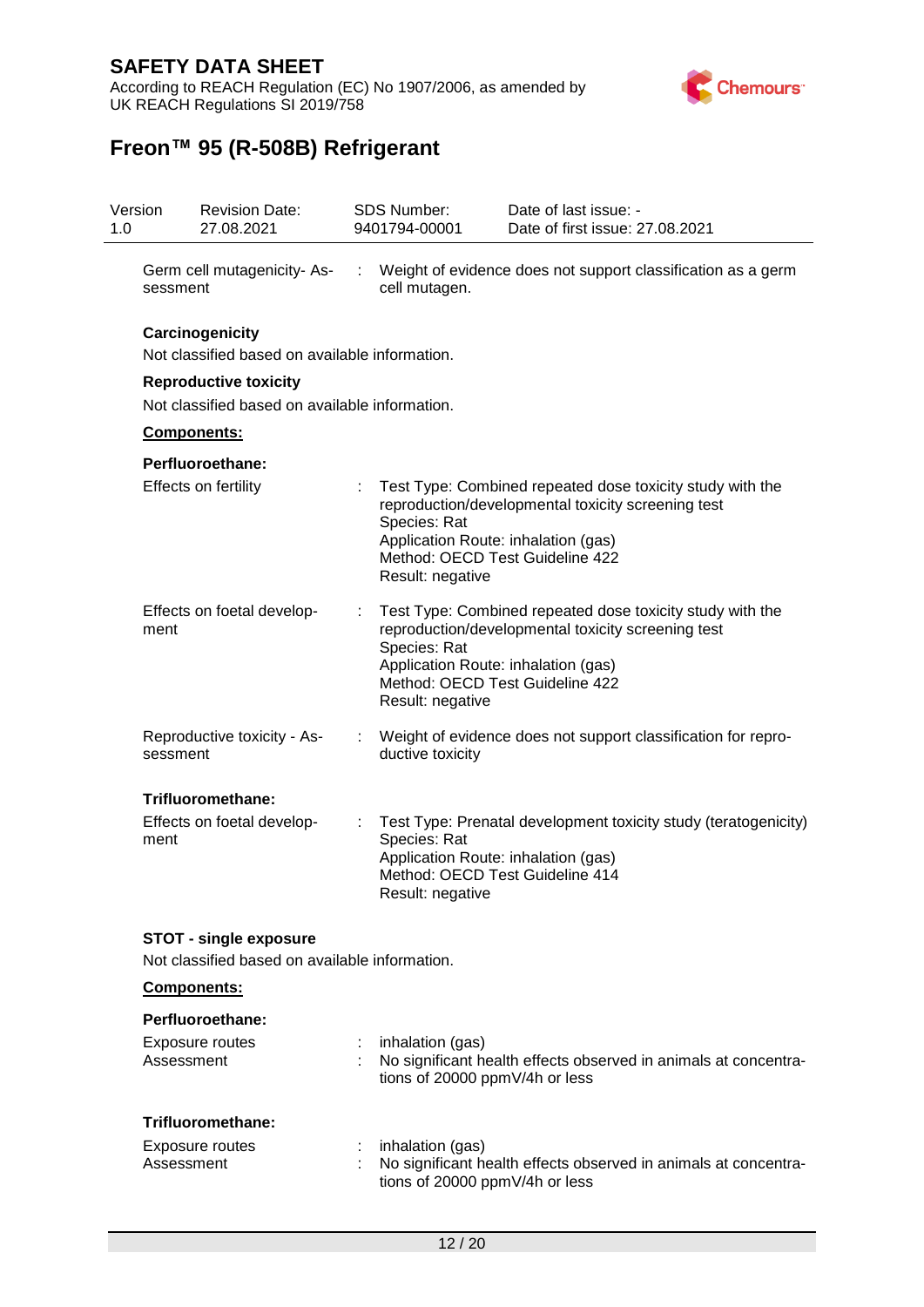According to REACH Regulation (EC) No 1907/2006, as amended by UK REACH Regulations SI 2019/758



| 1.0 | Version     | <b>Revision Date:</b><br>27.08.2021                                             |                                                                                                            | <b>SDS Number:</b><br>9401794-00001                                     | Date of last issue: -<br>Date of first issue: 27.08.2021                                                                                                                                  |
|-----|-------------|---------------------------------------------------------------------------------|------------------------------------------------------------------------------------------------------------|-------------------------------------------------------------------------|-------------------------------------------------------------------------------------------------------------------------------------------------------------------------------------------|
|     | sessment    | Germ cell mutagenicity-As-                                                      |                                                                                                            | cell mutagen.                                                           | Weight of evidence does not support classification as a germ                                                                                                                              |
|     |             | Carcinogenicity<br>Not classified based on available information.               |                                                                                                            |                                                                         |                                                                                                                                                                                           |
|     |             | <b>Reproductive toxicity</b><br>Not classified based on available information.  |                                                                                                            |                                                                         |                                                                                                                                                                                           |
|     |             | <b>Components:</b>                                                              |                                                                                                            |                                                                         |                                                                                                                                                                                           |
|     |             | Perfluoroethane:                                                                |                                                                                                            |                                                                         |                                                                                                                                                                                           |
|     |             | Effects on fertility                                                            |                                                                                                            | Species: Rat<br>Application Route: inhalation (gas)<br>Result: negative | Test Type: Combined repeated dose toxicity study with the<br>reproduction/developmental toxicity screening test<br>Method: OECD Test Guideline 422                                        |
|     | ment        | Effects on foetal develop-                                                      | Species: Rat<br>Result: negative                                                                           |                                                                         | Test Type: Combined repeated dose toxicity study with the<br>reproduction/developmental toxicity screening test<br>Application Route: inhalation (gas)<br>Method: OECD Test Guideline 422 |
|     | sessment    | Reproductive toxicity - As-                                                     |                                                                                                            | ductive toxicity                                                        | Weight of evidence does not support classification for repro-                                                                                                                             |
|     |             | Trifluoromethane:                                                               |                                                                                                            |                                                                         |                                                                                                                                                                                           |
|     | ment        | Effects on foetal develop-                                                      | Species: Rat<br>Application Route: inhalation (gas)<br>Method: OECD Test Guideline 414<br>Result: negative |                                                                         | Test Type: Prenatal development toxicity study (teratogenicity)                                                                                                                           |
|     |             | <b>STOT - single exposure</b><br>Not classified based on available information. |                                                                                                            |                                                                         |                                                                                                                                                                                           |
|     | Components: |                                                                                 |                                                                                                            |                                                                         |                                                                                                                                                                                           |
|     |             | Perfluoroethane:                                                                |                                                                                                            |                                                                         |                                                                                                                                                                                           |
|     |             | Exposure routes<br>Assessment                                                   |                                                                                                            | inhalation (gas)<br>tions of 20000 ppmV/4h or less                      | No significant health effects observed in animals at concentra-                                                                                                                           |
|     |             | Trifluoromethane:                                                               |                                                                                                            |                                                                         |                                                                                                                                                                                           |
|     |             | Exposure routes<br>Assessment                                                   |                                                                                                            | inhalation (gas)<br>tions of 20000 ppmV/4h or less                      | No significant health effects observed in animals at concentra-                                                                                                                           |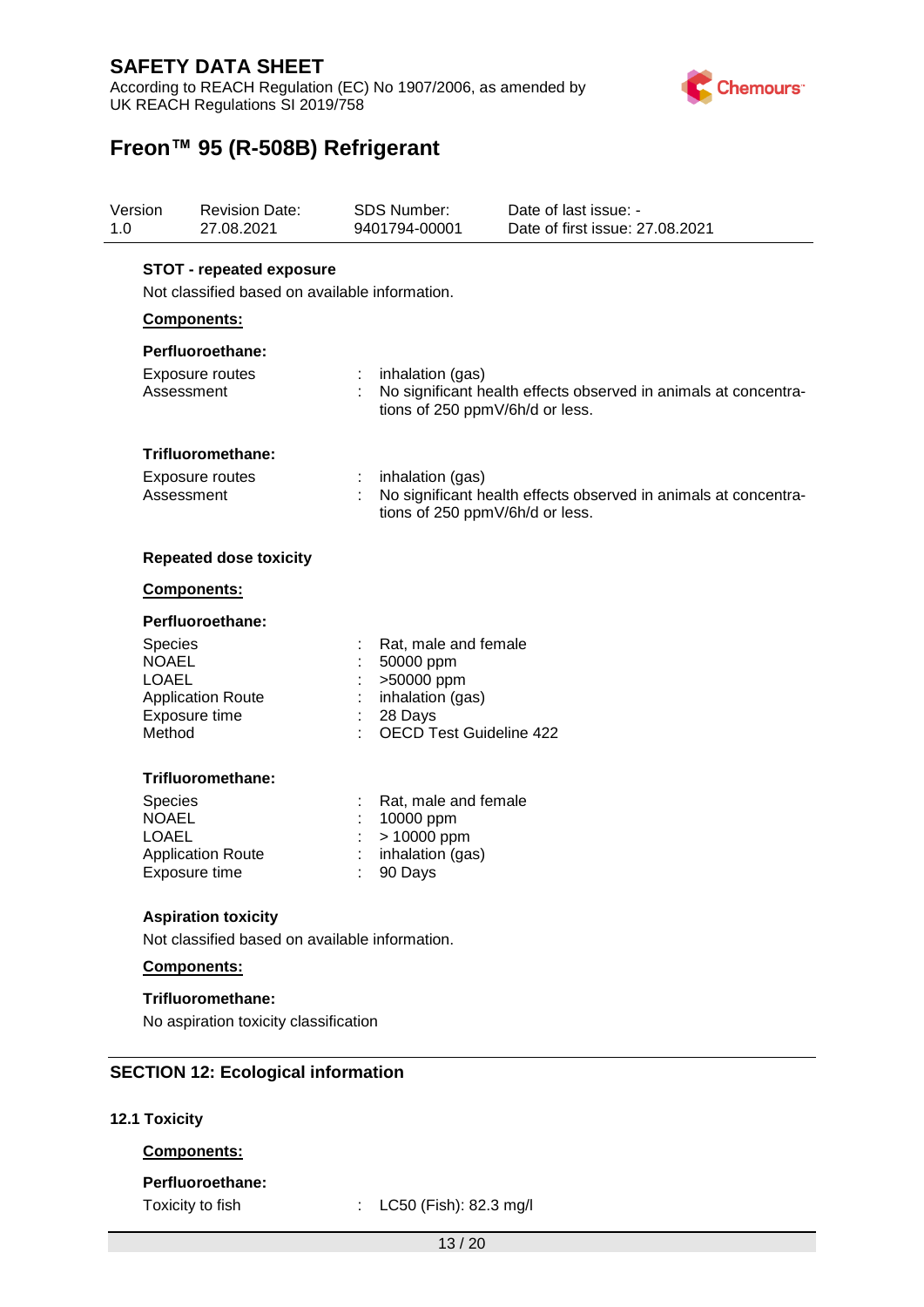According to REACH Regulation (EC) No 1907/2006, as amended by UK REACH Regulations SI 2019/758



# **Freon™ 95 (R-508B) Refrigerant**

| Version<br><b>Revision Date:</b><br>1.0<br>27.08.2021    |                                                                                   | <b>SDS Number:</b><br>Date of last issue: -<br>9401794-00001<br>Date of first issue: 27.08.2021                             |
|----------------------------------------------------------|-----------------------------------------------------------------------------------|-----------------------------------------------------------------------------------------------------------------------------|
|                                                          | <b>STOT - repeated exposure</b><br>Not classified based on available information. |                                                                                                                             |
|                                                          | Components:                                                                       |                                                                                                                             |
|                                                          | Perfluoroethane:                                                                  |                                                                                                                             |
|                                                          | <b>Exposure routes</b><br>Assessment                                              | inhalation (gas)<br>÷<br>No significant health effects observed in animals at concentra-<br>tions of 250 ppmV/6h/d or less. |
|                                                          | Trifluoromethane:                                                                 |                                                                                                                             |
|                                                          | Exposure routes<br>Assessment                                                     | inhalation (gas)<br>No significant health effects observed in animals at concentra-<br>tions of 250 ppmV/6h/d or less.      |
|                                                          | <b>Repeated dose toxicity</b>                                                     |                                                                                                                             |
|                                                          | <b>Components:</b>                                                                |                                                                                                                             |
|                                                          | Perfluoroethane:                                                                  |                                                                                                                             |
| <b>Species</b><br><b>NOAEL</b><br><b>LOAEL</b><br>Method | <b>Application Route</b><br>Exposure time                                         | Rat, male and female<br>50000 ppm<br>>50000 ppm<br>inhalation (gas)<br>28 Days<br><b>OECD Test Guideline 422</b>            |
|                                                          | Trifluoromethane:                                                                 |                                                                                                                             |
| Species<br><b>NOAEL</b><br><b>LOAEL</b>                  | <b>Application Route</b><br>Exposure time                                         | Rat, male and female<br>10000 ppm<br>> 10000 ppm<br>inhalation (gas)<br>90 Days                                             |
|                                                          | <b>Aspiration toxicity</b>                                                        |                                                                                                                             |
|                                                          | Not classified based on available information.                                    |                                                                                                                             |
|                                                          | Components:                                                                       |                                                                                                                             |
|                                                          | Trifluoromethane:<br>No aspiration toxicity classification                        |                                                                                                                             |
|                                                          | <b>SECTION 12: Ecological information</b>                                         |                                                                                                                             |

### **12.1 Toxicity**

### **Components:**

#### **Perfluoroethane:**

Toxicity to fish : LC50 (Fish): 82.3 mg/l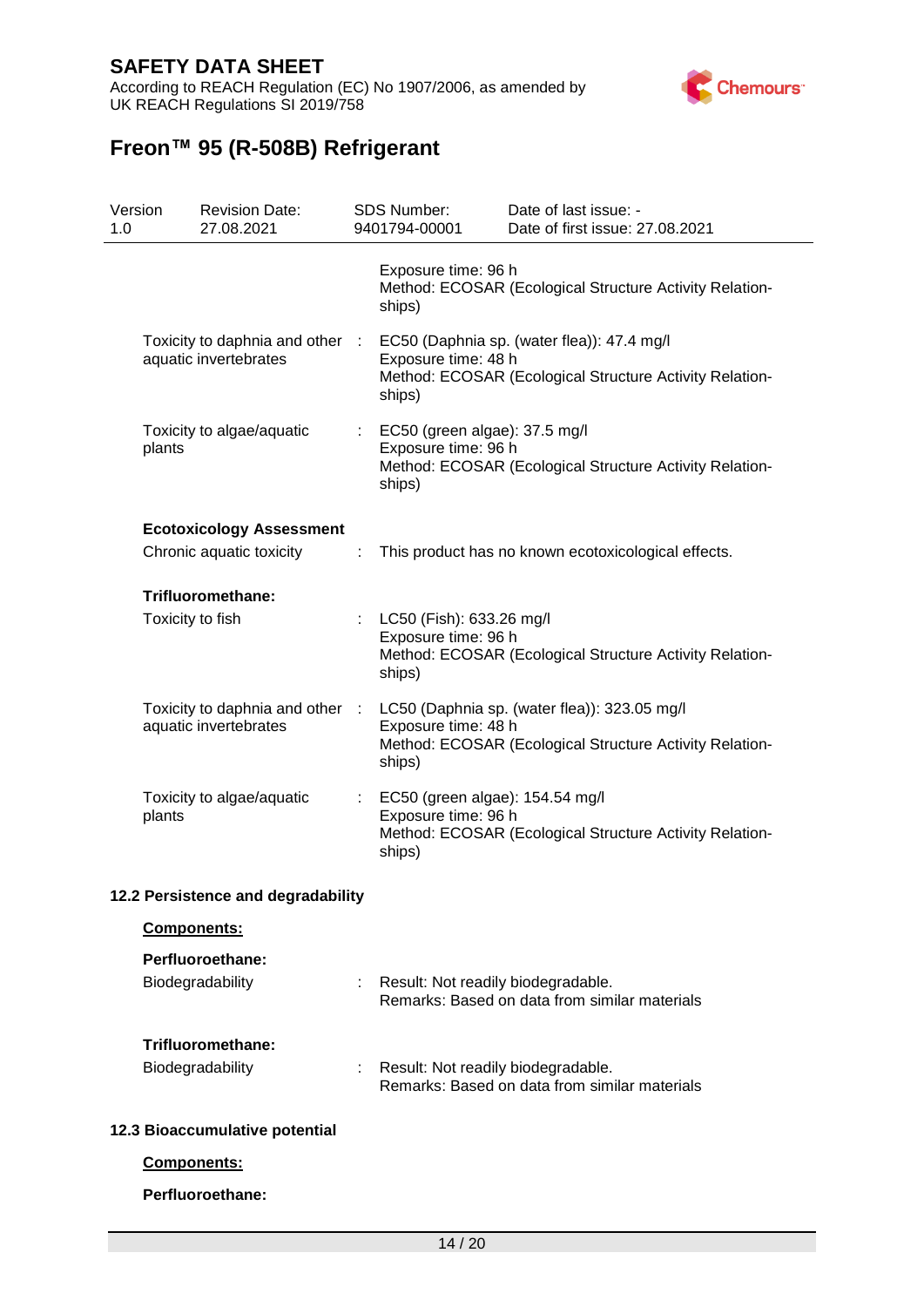According to REACH Regulation (EC) No 1907/2006, as amended by UK REACH Regulations SI 2019/758



| Version<br>1.0 |                  | <b>Revision Date:</b><br>27.08.2021                         |                                                                             | <b>SDS Number:</b><br>9401794-00001                              | Date of last issue: -<br>Date of first issue: 27.08.2021                                                |
|----------------|------------------|-------------------------------------------------------------|-----------------------------------------------------------------------------|------------------------------------------------------------------|---------------------------------------------------------------------------------------------------------|
|                |                  |                                                             |                                                                             | Exposure time: 96 h<br>ships)                                    | Method: ECOSAR (Ecological Structure Activity Relation-                                                 |
|                |                  | Toxicity to daphnia and other :<br>aquatic invertebrates    |                                                                             | Exposure time: 48 h<br>ships)                                    | EC50 (Daphnia sp. (water flea)): 47.4 mg/l<br>Method: ECOSAR (Ecological Structure Activity Relation-   |
|                | plants           | Toxicity to algae/aquatic                                   | $\therefore$ EC50 (green algae): 37.5 mg/l<br>Exposure time: 96 h<br>ships) |                                                                  | Method: ECOSAR (Ecological Structure Activity Relation-                                                 |
|                |                  | <b>Ecotoxicology Assessment</b><br>Chronic aquatic toxicity | ÷                                                                           |                                                                  | This product has no known ecotoxicological effects.                                                     |
|                |                  | Trifluoromethane:                                           |                                                                             |                                                                  |                                                                                                         |
|                | Toxicity to fish |                                                             |                                                                             | : LC50 (Fish): 633.26 mg/l<br>Exposure time: 96 h<br>ships)      | Method: ECOSAR (Ecological Structure Activity Relation-                                                 |
|                |                  | Toxicity to daphnia and other :<br>aquatic invertebrates    |                                                                             | Exposure time: 48 h<br>ships)                                    | LC50 (Daphnia sp. (water flea)): 323.05 mg/l<br>Method: ECOSAR (Ecological Structure Activity Relation- |
|                | plants           | Toxicity to algae/aquatic                                   | $\mathbb{Z}^n$ .                                                            | EC50 (green algae): 154.54 mg/l<br>Exposure time: 96 h<br>ships) | Method: ECOSAR (Ecological Structure Activity Relation-                                                 |
|                |                  | 12.2 Persistence and degradability                          |                                                                             |                                                                  |                                                                                                         |
|                | Components:      |                                                             |                                                                             |                                                                  |                                                                                                         |
|                |                  | Perfluoroethane:                                            |                                                                             |                                                                  |                                                                                                         |
|                |                  | Biodegradability                                            |                                                                             | : Result: Not readily biodegradable.                             | Remarks: Based on data from similar materials                                                           |
|                |                  | Trifluoromethane:                                           |                                                                             |                                                                  |                                                                                                         |
|                |                  | Biodegradability                                            |                                                                             | : Result: Not readily biodegradable.                             | Remarks: Based on data from similar materials                                                           |
|                |                  | 12.3 Bioaccumulative potential                              |                                                                             |                                                                  |                                                                                                         |
|                | Components:      |                                                             |                                                                             |                                                                  |                                                                                                         |
|                |                  | Perfluoroethane:                                            |                                                                             |                                                                  |                                                                                                         |
|                |                  |                                                             |                                                                             |                                                                  |                                                                                                         |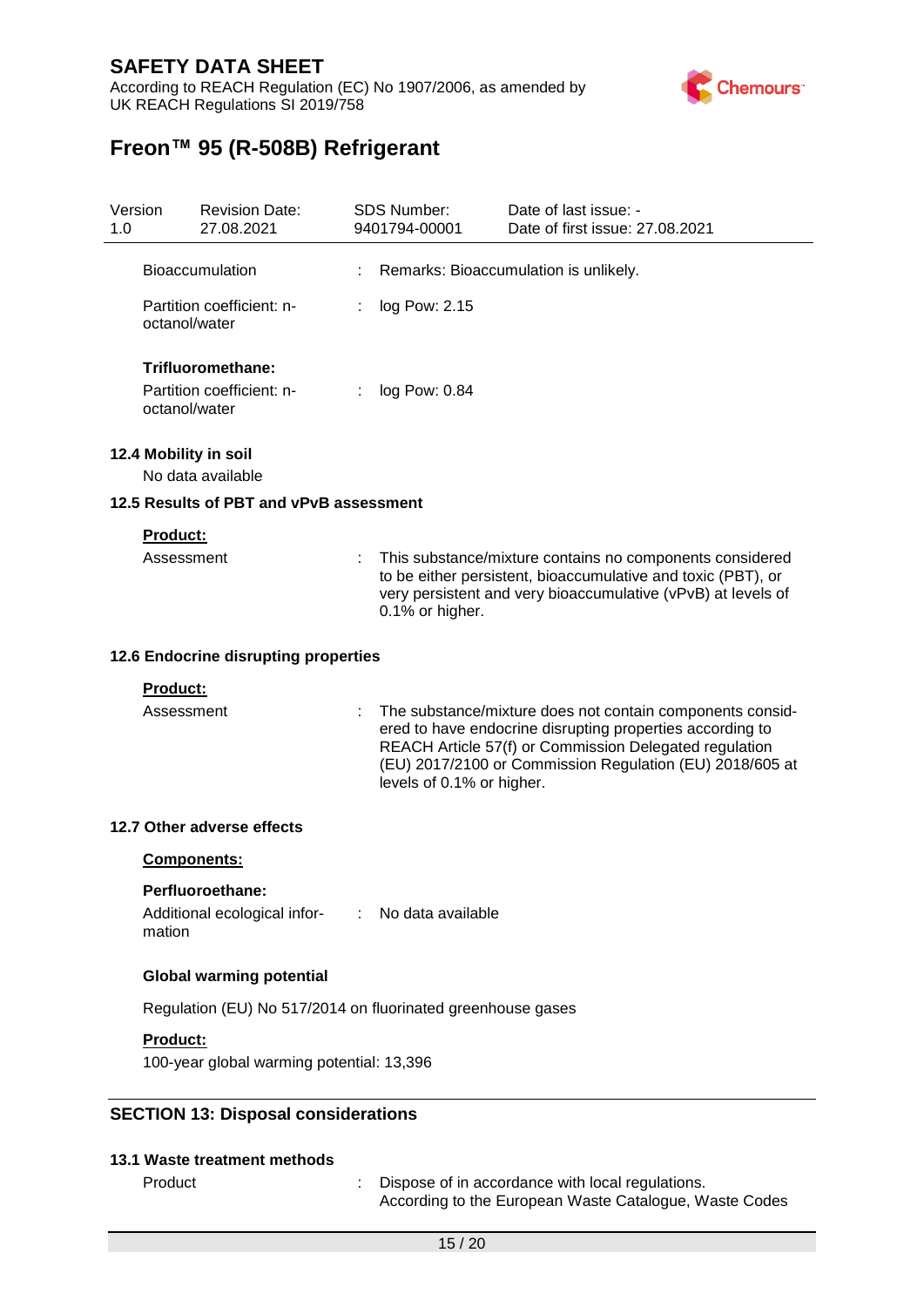According to REACH Regulation (EC) No 1907/2006, as amended by UK REACH Regulations SI 2019/758



| Version<br>1.0 |                               | <b>Revision Date:</b><br>27.08.2021                                  | <b>SDS Number:</b><br>9401794-00001 | Date of last issue: -<br>Date of first issue: 27.08.2021                                                                                                                                                                                     |
|----------------|-------------------------------|----------------------------------------------------------------------|-------------------------------------|----------------------------------------------------------------------------------------------------------------------------------------------------------------------------------------------------------------------------------------------|
|                |                               | <b>Bioaccumulation</b>                                               |                                     | Remarks: Bioaccumulation is unlikely.                                                                                                                                                                                                        |
|                | octanol/water                 | Partition coefficient: n-                                            | log Pow: 2.15                       |                                                                                                                                                                                                                                              |
|                | octanol/water                 | Trifluoromethane:<br>Partition coefficient: n-                       | log Pow: 0.84                       |                                                                                                                                                                                                                                              |
|                |                               | 12.4 Mobility in soil<br>No data available                           |                                     |                                                                                                                                                                                                                                              |
|                |                               | 12.5 Results of PBT and vPvB assessment                              |                                     |                                                                                                                                                                                                                                              |
|                | Product:<br>Assessment        |                                                                      | 0.1% or higher.                     | This substance/mixture contains no components considered<br>to be either persistent, bioaccumulative and toxic (PBT), or<br>very persistent and very bioaccumulative (vPvB) at levels of                                                     |
|                |                               | 12.6 Endocrine disrupting properties                                 |                                     |                                                                                                                                                                                                                                              |
|                | <b>Product:</b><br>Assessment |                                                                      | levels of 0.1% or higher.           | The substance/mixture does not contain components consid-<br>ered to have endocrine disrupting properties according to<br>REACH Article 57(f) or Commission Delegated regulation<br>(EU) 2017/2100 or Commission Regulation (EU) 2018/605 at |
|                |                               | 12.7 Other adverse effects                                           |                                     |                                                                                                                                                                                                                                              |
|                |                               | <b>Components:</b>                                                   |                                     |                                                                                                                                                                                                                                              |
|                | mation                        | Perfluoroethane:<br>Additional ecological infor- : No data available |                                     |                                                                                                                                                                                                                                              |
|                |                               | <b>Global warming potential</b>                                      |                                     |                                                                                                                                                                                                                                              |
|                |                               | Regulation (EU) No 517/2014 on fluorinated greenhouse gases          |                                     |                                                                                                                                                                                                                                              |
|                | <b>Product:</b>               |                                                                      |                                     |                                                                                                                                                                                                                                              |
|                |                               | 100-year global warming potential: 13,396                            |                                     |                                                                                                                                                                                                                                              |
|                |                               | <b>SECTION 13: Disposal considerations</b>                           |                                     |                                                                                                                                                                                                                                              |
|                |                               | 13.1 Waste treatment methods                                         |                                     |                                                                                                                                                                                                                                              |
|                | Product                       |                                                                      |                                     | Dispose of in accordance with local regulations.<br>According to the European Waste Catalogue, Waste Codes                                                                                                                                   |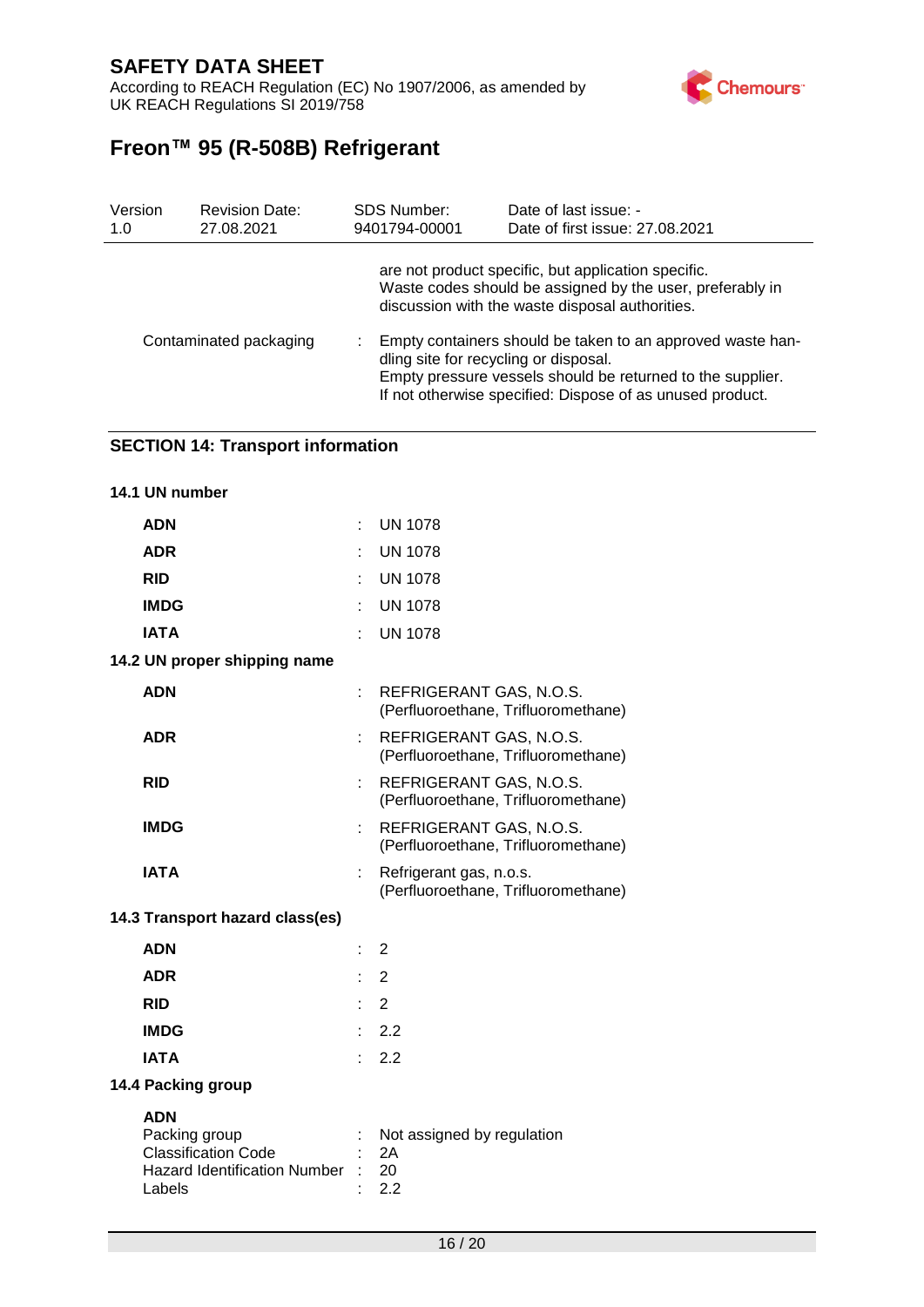According to REACH Regulation (EC) No 1907/2006, as amended by UK REACH Regulations SI 2019/758



# **Freon™ 95 (R-508B) Refrigerant**

| Version<br>1.0         | <b>Revision Date:</b><br>27.08.2021 | <b>SDS Number:</b><br>9401794-00001                                                                                                                                                                                            | Date of last issue: -<br>Date of first issue: 27.08.2021                                                                                                            |  |  |
|------------------------|-------------------------------------|--------------------------------------------------------------------------------------------------------------------------------------------------------------------------------------------------------------------------------|---------------------------------------------------------------------------------------------------------------------------------------------------------------------|--|--|
|                        |                                     |                                                                                                                                                                                                                                | are not product specific, but application specific.<br>Waste codes should be assigned by the user, preferably in<br>discussion with the waste disposal authorities. |  |  |
| Contaminated packaging |                                     | Empty containers should be taken to an approved waste han-<br>dling site for recycling or disposal.<br>Empty pressure vessels should be returned to the supplier.<br>If not otherwise specified: Dispose of as unused product. |                                                                                                                                                                     |  |  |

#### **SECTION 14: Transport information**

| 14.1 UN number                                                                                             |    |                                                                |
|------------------------------------------------------------------------------------------------------------|----|----------------------------------------------------------------|
| <b>ADN</b>                                                                                                 |    | <b>UN 1078</b>                                                 |
| <b>ADR</b>                                                                                                 |    | <b>UN 1078</b>                                                 |
| <b>RID</b>                                                                                                 |    | <b>UN 1078</b>                                                 |
| <b>IMDG</b>                                                                                                |    | <b>UN 1078</b>                                                 |
| <b>IATA</b>                                                                                                |    | <b>UN 1078</b>                                                 |
| 14.2 UN proper shipping name                                                                               |    |                                                                |
| <b>ADN</b>                                                                                                 | ÷  | REFRIGERANT GAS, N.O.S.<br>(Perfluoroethane, Trifluoromethane) |
| <b>ADR</b>                                                                                                 |    | REFRIGERANT GAS, N.O.S.<br>(Perfluoroethane, Trifluoromethane) |
| <b>RID</b>                                                                                                 |    | REFRIGERANT GAS, N.O.S.<br>(Perfluoroethane, Trifluoromethane) |
| <b>IMDG</b>                                                                                                |    | REFRIGERANT GAS, N.O.S.<br>(Perfluoroethane, Trifluoromethane) |
| <b>IATA</b>                                                                                                |    | Refrigerant gas, n.o.s.<br>(Perfluoroethane, Trifluoromethane) |
| 14.3 Transport hazard class(es)                                                                            |    |                                                                |
| <b>ADN</b>                                                                                                 | t. | $\overline{2}$                                                 |
| <b>ADR</b>                                                                                                 | ÷. | $\overline{2}$                                                 |
| <b>RID</b>                                                                                                 |    | $\therefore$ 2                                                 |
| <b>IMDG</b>                                                                                                |    | 2.2                                                            |
| <b>IATA</b>                                                                                                |    | 2.2                                                            |
| 14.4 Packing group                                                                                         |    |                                                                |
| <b>ADN</b><br>Packing group<br><b>Classification Code</b><br><b>Hazard Identification Number</b><br>Labels |    | Not assigned by regulation<br>2A<br>20<br>2.2                  |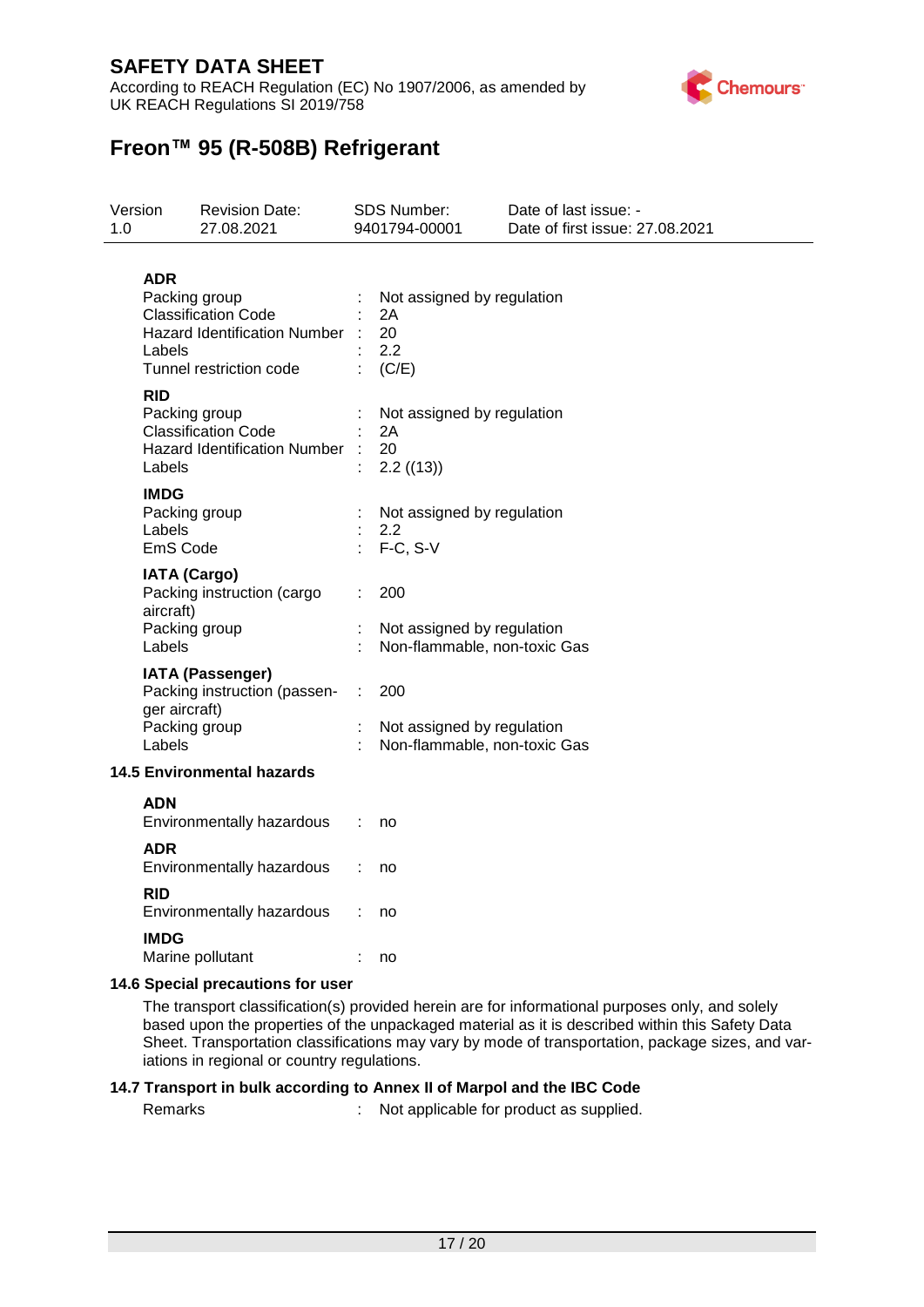According to REACH Regulation (EC) No 1907/2006, as amended by UK REACH Regulations SI 2019/758



# **Freon™ 95 (R-508B) Refrigerant**

| Version<br>1.0 |                                                                                                            | <b>Revision Date:</b><br>27.08.2021                                                                           |                                   | SDS Number:<br>9401794-00001                                      | Date of last issue: -<br>Date of first issue: 27.08.2021 |
|----------------|------------------------------------------------------------------------------------------------------------|---------------------------------------------------------------------------------------------------------------|-----------------------------------|-------------------------------------------------------------------|----------------------------------------------------------|
|                | <b>ADR</b><br>Labels                                                                                       | Packing group<br><b>Classification Code</b><br><b>Hazard Identification Number</b><br>Tunnel restriction code |                                   | Not assigned by regulation<br>2Α<br>20<br>2.2<br>(C/E)            |                                                          |
|                | <b>RID</b><br>Packing group<br><b>Classification Code</b><br><b>Hazard Identification Number</b><br>Labels |                                                                                                               |                                   | Not assigned by regulation<br>2A<br>20<br>2.2 ((13))              |                                                          |
|                | <b>IMDG</b><br>Labels<br>EmS Code                                                                          | Packing group                                                                                                 |                                   | Not assigned by regulation<br>2.2<br>F-C, S-V                     |                                                          |
|                | <b>IATA (Cargo)</b><br>Packing instruction (cargo<br>aircraft)<br>Packing group<br>Labels                  |                                                                                                               |                                   | 200<br>Not assigned by regulation<br>Non-flammable, non-toxic Gas |                                                          |
|                | ger aircraft)<br>Labels                                                                                    | <b>IATA (Passenger)</b><br>Packing instruction (passen-<br>Packing group                                      | 200<br>Not assigned by regulation |                                                                   | Non-flammable, non-toxic Gas                             |
|                |                                                                                                            | <b>14.5 Environmental hazards</b>                                                                             |                                   |                                                                   |                                                          |
|                | ADN                                                                                                        | Environmentally hazardous                                                                                     |                                   | no                                                                |                                                          |
|                | ADR                                                                                                        | Environmentally hazardous                                                                                     |                                   | no                                                                |                                                          |
|                | <b>RID</b>                                                                                                 | Environmentally hazardous                                                                                     |                                   | no                                                                |                                                          |
|                | <b>IMDG</b>                                                                                                | Marine pollutant                                                                                              |                                   | no                                                                |                                                          |
|                |                                                                                                            | 11 G Chooial procautions for user                                                                             |                                   |                                                                   |                                                          |

**14.6 Special precautions for user**

The transport classification(s) provided herein are for informational purposes only, and solely based upon the properties of the unpackaged material as it is described within this Safety Data Sheet. Transportation classifications may vary by mode of transportation, package sizes, and variations in regional or country regulations.

#### **14.7 Transport in bulk according to Annex II of Marpol and the IBC Code**

Remarks : Not applicable for product as supplied.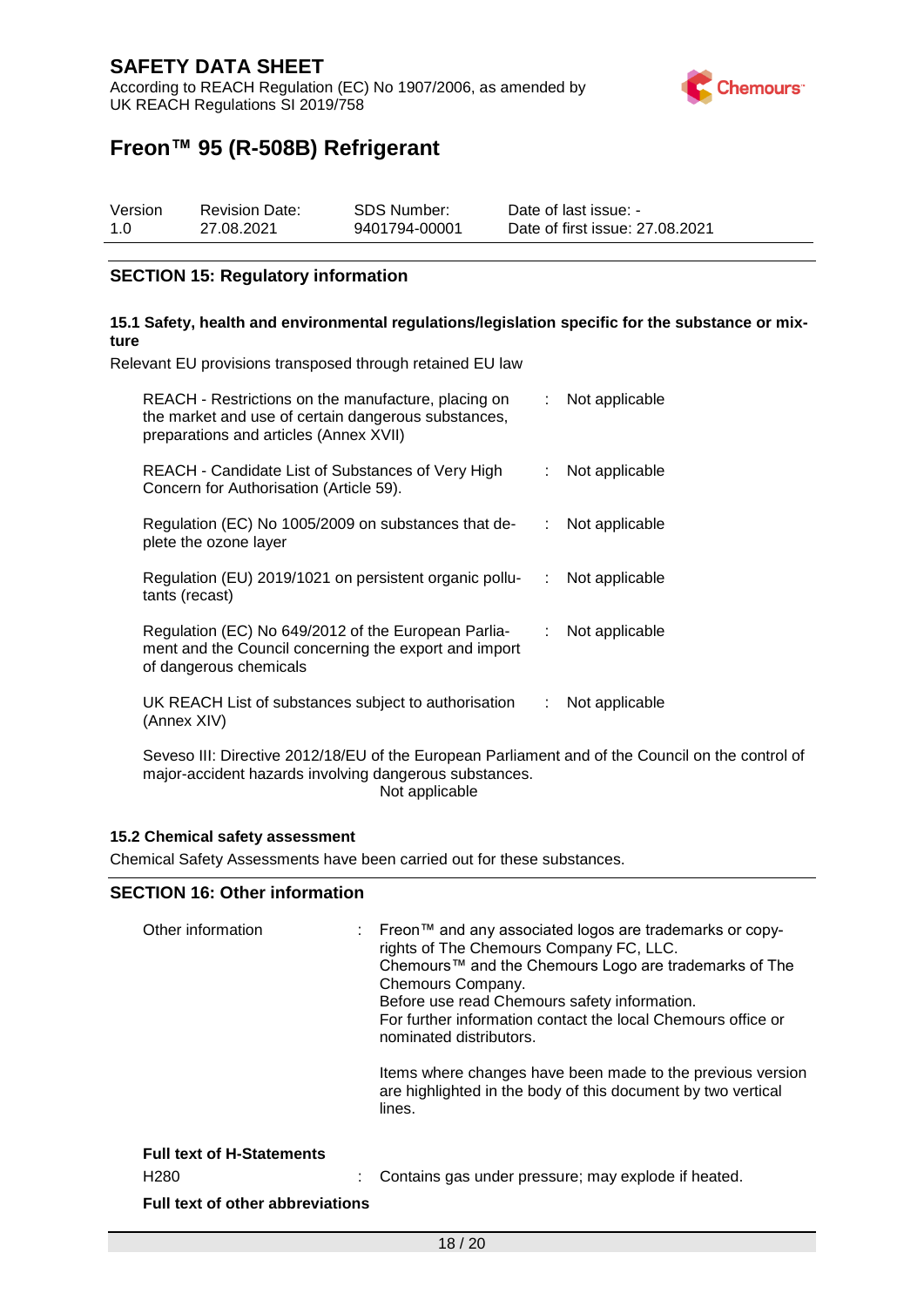According to REACH Regulation (EC) No 1907/2006, as amended by UK REACH Regulations SI 2019/758



# **Freon™ 95 (R-508B) Refrigerant**

| Version | <b>Revision Date:</b> | SDS Number:   | Date of last issue: -           |
|---------|-----------------------|---------------|---------------------------------|
| 1.0     | 27.08.2021            | 9401794-00001 | Date of first issue: 27,08,2021 |

#### **SECTION 15: Regulatory information**

#### **15.1 Safety, health and environmental regulations/legislation specific for the substance or mixture**

Relevant EU provisions transposed through retained EU law

| REACH - Restrictions on the manufacture, placing on<br>the market and use of certain dangerous substances,<br>preparations and articles (Annex XVII) | t. | Not applicable |
|------------------------------------------------------------------------------------------------------------------------------------------------------|----|----------------|
| REACH - Candidate List of Substances of Very High<br>Concern for Authorisation (Article 59).                                                         |    | Not applicable |
| Regulation (EC) No 1005/2009 on substances that de-<br>plete the ozone layer                                                                         | ÷. | Not applicable |
| Regulation (EU) 2019/1021 on persistent organic pollu-<br>tants (recast)                                                                             | ÷. | Not applicable |
| Regulation (EC) No 649/2012 of the European Parlia-<br>ment and the Council concerning the export and import<br>of dangerous chemicals               | ÷. | Not applicable |
| UK REACH List of substances subject to authorisation<br>(Annex XIV)                                                                                  | ÷. | Not applicable |

Seveso III: Directive 2012/18/EU of the European Parliament and of the Council on the control of major-accident hazards involving dangerous substances. Not applicable

#### **15.2 Chemical safety assessment**

Chemical Safety Assessments have been carried out for these substances.

#### **SECTION 16: Other information**

| Other information                                                                               | : Freon™ and any associated logos are trademarks or copy-<br>rights of The Chemours Company FC, LLC.<br>Chemours™ and the Chemours Logo are trademarks of The<br>Chemours Company.<br>Before use read Chemours safety information.<br>For further information contact the local Chemours office or<br>nominated distributors.<br>Items where changes have been made to the previous version<br>are highlighted in the body of this document by two vertical<br>lines. |
|-------------------------------------------------------------------------------------------------|-----------------------------------------------------------------------------------------------------------------------------------------------------------------------------------------------------------------------------------------------------------------------------------------------------------------------------------------------------------------------------------------------------------------------------------------------------------------------|
| <b>Full text of H-Statements</b><br>H <sub>280</sub><br><b>Full text of other abbreviations</b> | Contains gas under pressure; may explode if heated.                                                                                                                                                                                                                                                                                                                                                                                                                   |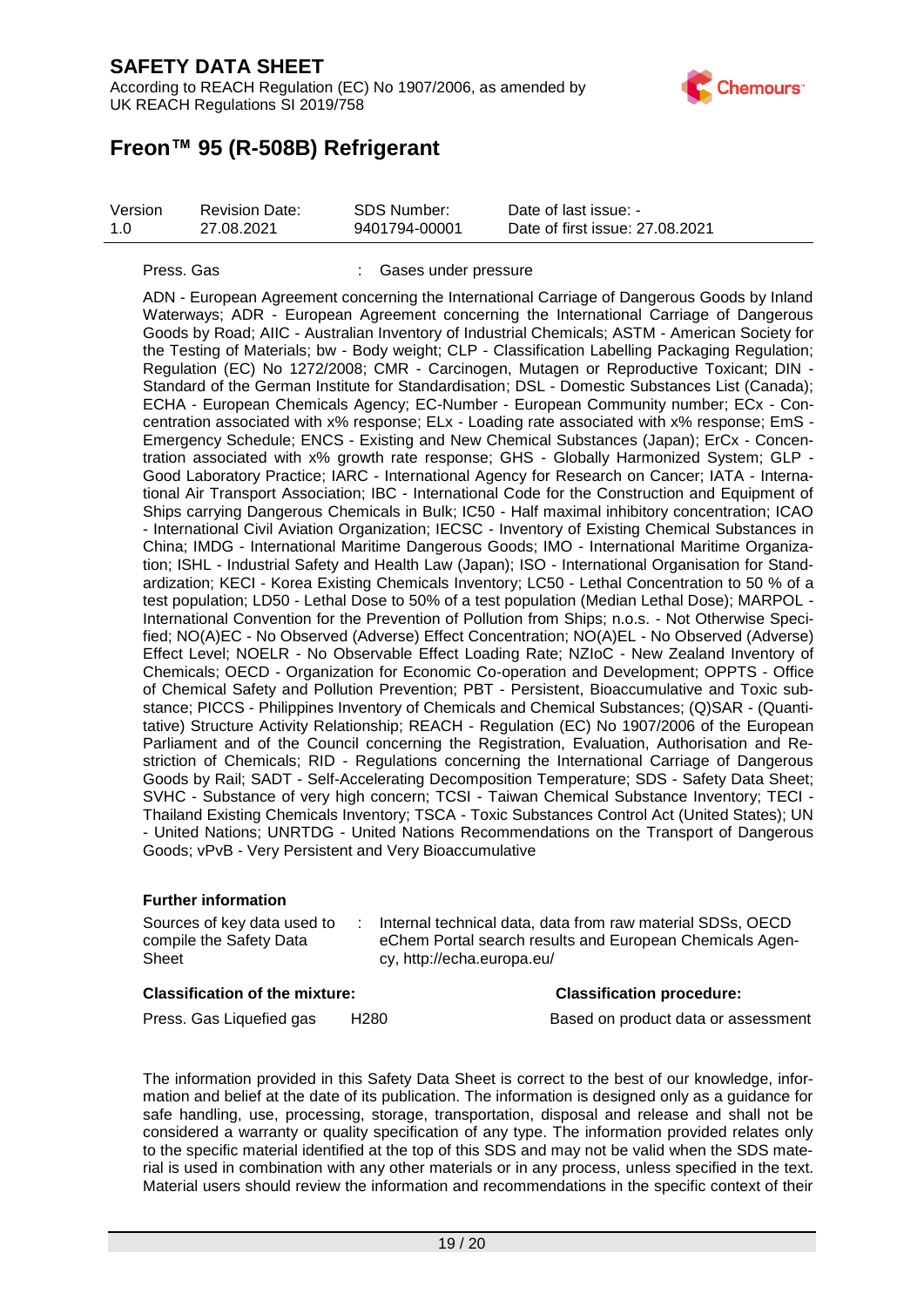According to REACH Regulation (EC) No 1907/2006, as amended by UK REACH Regulations SI 2019/758



## **Freon™ 95 (R-508B) Refrigerant**

| Version | <b>Revision Date:</b> | SDS Number:   | Date of last issue: -           |
|---------|-----------------------|---------------|---------------------------------|
| 1.0     | 27.08.2021            | 9401794-00001 | Date of first issue: 27,08,2021 |

#### Press. Gas : Gases under pressure

ADN - European Agreement concerning the International Carriage of Dangerous Goods by Inland Waterways; ADR - European Agreement concerning the International Carriage of Dangerous Goods by Road; AIIC - Australian Inventory of Industrial Chemicals; ASTM - American Society for the Testing of Materials; bw - Body weight; CLP - Classification Labelling Packaging Regulation; Regulation (EC) No 1272/2008; CMR - Carcinogen, Mutagen or Reproductive Toxicant; DIN - Standard of the German Institute for Standardisation; DSL - Domestic Substances List (Canada); ECHA - European Chemicals Agency; EC-Number - European Community number; ECx - Concentration associated with x% response; ELx - Loading rate associated with x% response; EmS - Emergency Schedule; ENCS - Existing and New Chemical Substances (Japan); ErCx - Concentration associated with x% growth rate response; GHS - Globally Harmonized System; GLP - Good Laboratory Practice; IARC - International Agency for Research on Cancer; IATA - International Air Transport Association; IBC - International Code for the Construction and Equipment of Ships carrying Dangerous Chemicals in Bulk; IC50 - Half maximal inhibitory concentration; ICAO - International Civil Aviation Organization; IECSC - Inventory of Existing Chemical Substances in China; IMDG - International Maritime Dangerous Goods; IMO - International Maritime Organization; ISHL - Industrial Safety and Health Law (Japan); ISO - International Organisation for Standardization; KECI - Korea Existing Chemicals Inventory; LC50 - Lethal Concentration to 50 % of a test population; LD50 - Lethal Dose to 50% of a test population (Median Lethal Dose); MARPOL - International Convention for the Prevention of Pollution from Ships; n.o.s. - Not Otherwise Specified; NO(A)EC - No Observed (Adverse) Effect Concentration; NO(A)EL - No Observed (Adverse) Effect Level; NOELR - No Observable Effect Loading Rate; NZIoC - New Zealand Inventory of Chemicals; OECD - Organization for Economic Co-operation and Development; OPPTS - Office of Chemical Safety and Pollution Prevention; PBT - Persistent, Bioaccumulative and Toxic substance; PICCS - Philippines Inventory of Chemicals and Chemical Substances; (Q)SAR - (Quantitative) Structure Activity Relationship; REACH - Regulation (EC) No 1907/2006 of the European Parliament and of the Council concerning the Registration, Evaluation, Authorisation and Restriction of Chemicals; RID - Regulations concerning the International Carriage of Dangerous Goods by Rail; SADT - Self-Accelerating Decomposition Temperature; SDS - Safety Data Sheet; SVHC - Substance of very high concern; TCSI - Taiwan Chemical Substance Inventory; TECI - Thailand Existing Chemicals Inventory; TSCA - Toxic Substances Control Act (United States); UN - United Nations; UNRTDG - United Nations Recommendations on the Transport of Dangerous Goods; vPvB - Very Persistent and Very Bioaccumulative

#### **Further information**

| Sources of key data used to | Internal technical data, data from raw material SDSs, OECD |
|-----------------------------|------------------------------------------------------------|
| compile the Safety Data     | eChem Portal search results and European Chemicals Agen-   |
| Sheet                       | cy, http://echa.europa.eu/                                 |

#### **Classification of the mixture: Classification procedure:**

Press. Gas Liquefied gas H280 Based on product data or assessment

The information provided in this Safety Data Sheet is correct to the best of our knowledge, information and belief at the date of its publication. The information is designed only as a guidance for safe handling, use, processing, storage, transportation, disposal and release and shall not be considered a warranty or quality specification of any type. The information provided relates only to the specific material identified at the top of this SDS and may not be valid when the SDS material is used in combination with any other materials or in any process, unless specified in the text. Material users should review the information and recommendations in the specific context of their